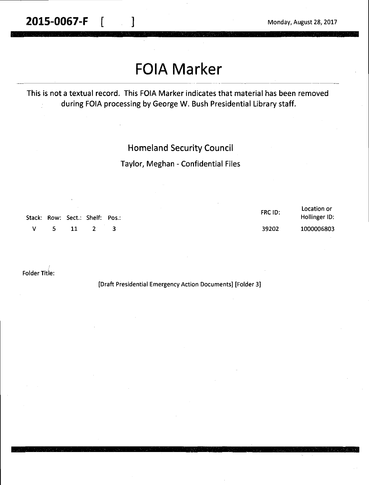**2015-0067-F**  $\begin{bmatrix} 1 & 1 & 1 \end{bmatrix}$  Monday, August 28, 2017

# **FOIA Marker**

This is not a textual record. This FOIA Marker indicates that material has been removed during FOIA processing by George W. Bush Presidential Library staff.

#### Homeland Security Council

Taylor, Meghan - Confidential Files

| Stack: Row: Sect.: Shelf: Pos.: |        |  | FRC ID: | Location or<br>Hollinger ID: |
|---------------------------------|--------|--|---------|------------------------------|
| $\mathbf{V}$                    | 5 11 2 |  | 39202   | 1000006803                   |

Folder Title:

[Draft Presidential Emergency Action Documents] [Folder 3]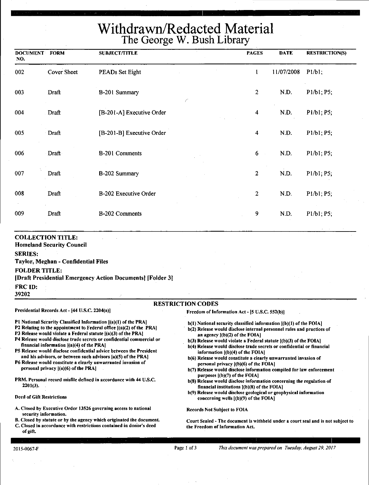## Withdrawn/Redacted Material The George W. Bush Library

| <b>DOCUMENT FORM</b><br>NO. |                                                              | <b>SUBJECT/TITLE</b>      | <b>PAGES</b>            | <b>DATE</b> | <b>RESTRICTION(S)</b> |
|-----------------------------|--------------------------------------------------------------|---------------------------|-------------------------|-------------|-----------------------|
| 002                         | Cover Sheet                                                  | PEADs Set Eight           | $\mathbf{1}$            | 11/07/2008  | P1/b1;                |
| 003                         | Draft                                                        | B-201 Summary<br>C        | $\boldsymbol{2}$        | N.D.        | P1/b1; P5;            |
| 004                         | Draft                                                        | [B-201-A] Executive Order | $\overline{\mathbf{4}}$ | N.D.        | P1/b1; P5;            |
| 005                         | Draft                                                        | [B-201-B] Executive Order | $\overline{\mathbf{4}}$ | N.D.        | P1/b1; P5;            |
| 006                         | Draft                                                        | B-201 Comments            | $6\phantom{.}6$         | N.D.        | P1/b1; P5;            |
| 007                         | Draft                                                        | B-202 Summary             | $\overline{2}$          | N.D.        | P1/b1; P5;            |
| 008                         | Draft                                                        | B-202 Executive Order     | $\overline{2}$          | N.D.        | P1/b1; P5;            |
| 009                         | Draft                                                        | B-202 Comments            | 9                       | N.D.        | P1/b1; P5;            |
| <b>SERIES:</b>              | <b>COLLECTION TITLE:</b><br><b>Homeland Security Council</b> |                           |                         |             |                       |

#### **Taylor, Meghan** - **Confidential Files**

#### **FOLDER TITLE:**

#### **[Draft Presidential Emergency Action Documents] [Folder 3]**

**FRCID:** 

39202

#### **RESTRICTION CODES**

Presidential Records Act - (44 U.S.C. 2204(a)]

Freedom of Information Act - (S U.S.C. 552(b)]

- Pl National Security Classified Information ((a)(l) of the PRA)
- P2 Relating to the appointment to Federal office [(a)(2) of the PRA)
- P3 Release would violate a Federal statute ((a)(3) of the PRAJ
- P4 Release would disclose trade secrets or confidential commercial or financial information ((a)(4) of the PRA)
- PS Release would disclose confidential advice between the President and his advisors, or between such advisors (a)(S) of the PRA]

P6 Release would constitute a clearly unwarranted invasion of personal privacy ((a)(6) of the PRA]

PRM. Personal record misfile defined in accordance with 44 U.S.C. 2201(3).

#### Deed of Gift Restrictions

- A. Closed by Executive Order 13526 governing access to national security information.
- B. Closed by statute or by the agency which originated the document. C. Closed in accordance with restrictions contained in donor's deed
- of gift.

b(l) National security classified information ((b)(l) of the FOIA)

- b(2) Release would disclose internal personnel rules and practices of an agency  $\{(b)(2)$  of the FOIA]
- b(3) Release would violate a Federal statute [(b)(3) of the FOIA)
- b(4) Release would disclose trade secrets or confidential or financial information ((b)(4) of the FOIAI
- b(6) Release would constitute a clearly unwarranted invasion of personal privacy ((b)(6) of the FOIAI
- b(7) Release would disclose information compiled for law enforcement purposes [(b)(7) of the FOIA]
- b(S) Release would disclose information concerning the regulation of financial institutions  $[(b)(8)$  of the FOIA]
- b(9) Release would disclose geological or geophysical information concerning wells ((b)(9) of the FOIA]

#### Records Not Subject to FOIA

Court Sealed -The document is withheld under a court seal and is not subject to the Freedom of Information Act.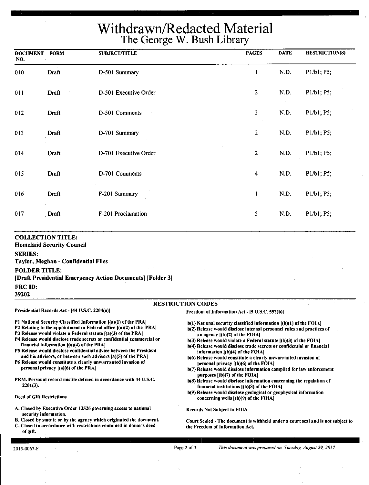## Withdrawn/Redacted Material The George W. Bush Library

| <b>DOCUMENT</b><br>NO. | <b>FORM</b> | <b>SUBJECT/TITLE</b>  | <b>PAGES</b>   | <b>DATE</b> | <b>RESTRICTION(S)</b> |
|------------------------|-------------|-----------------------|----------------|-------------|-----------------------|
| 010                    | Draft       | D-501 Summary         | 1              | ND.         | P1/b1; P5;            |
| 011                    | Draft       | D-501 Executive Order | $\overline{2}$ | N.D.        | P1/b1; P5;            |
| 012                    | Draft       | D-501 Comments        | $\overline{2}$ | N.D.        | P1/b1; P5;            |
| 013                    | Draft       | D-701 Summary         | $\sqrt{2}$     | N.D.        | P1/b1; P5;            |
| 014                    | Draft       | D-701 Executive Order | $\overline{c}$ | N.D.        | P1/b1; P5;            |
| 015                    | Draft       | D-701 Comments        | 4              | N.D.        | P1/b1; P5;            |
| 016                    | Draft       | F-201 Summary         | $\mathbf{1}$   | N.D.        | P1/b1; P5;            |
| 017                    | Draft       | F-201 Proclamation    | 5              | N.D.        | P1/b1; P5;            |
|                        |             |                       |                |             |                       |

#### **COLLECTION TITLE:**

Homeland **Security Council** 

**SERIES:** 

**T\_aylor, Meghan** - **Confidential Files** 

#### **FOLDER TITLE:**

**[Draft Presidential Emergency Action Documents] [Folder 3]** 

**FRCID:** 

**39202** 

#### RESTRICTION CODES

Presidential Records Act - [44 U.S.C. 2204(a))

financial information [(a)(4) of the PRA]

personal privacy ((a)(6) of the PRA)

#### Freedom of Information Act - [5 U.S.C. 552(b))

Pl National Security Classified Information [(a)(l) of the PRAJ P2 Relating to the appointment to Federal office  $[(a)(2)$  of the PRA] P3 Release would violate a Federal statute  $[(a)(3)$  of the PRA] P4 Release would disclose trade secrets or confidential commercial or

PS Release would disclose confidential advice between the President and his advisors, or between such advisors (a)(S) of the PRA) P6 Release would constitute a clearly unwarranted invasion of

PRM. Personal record misfile defined in accordance with 44 U.S.C.

A. Closed by Executive Order 13526 governing access to national

B. Closed by statute or by the agency which originated the document. C. Closed in accordance with restrictions contained in donor's deed

- b(l) National security classified information ((b)(l) of the FOIAJ b(2) Release would disclose internal personnel rules and practices of
- an agency  $[(b)(2)$  of the FOIA]
- $b(3)$  Release would violate a Federal statute  $[(b)(3)$  of the FOIA]
- b(4) Release would disclose trade secrets or confidential or financial information l(b)(4) of the FOIA)
- b(6) Release would constitute a clearly unwarranted invasion of personal privacy [(b)(6) of the FOIAJ
- b(7) Release would disclose information compiled for law enforcement purposes  $[(b)(7)$  of the FOIA]
- b(8) Release would disclose information concerning the regulation of financial institutions ((b)(8) of the FOIA)
- b(9) Release would disclose geological or geophysical information concerning wells [(b)(9) of the FOIA]

Records Not Subject to FOIA

Court Sealed~ The document is withheld under a court seal and is not subject to the Freedom of Information Act.

| 2015-0067-F |
|-------------|
|             |

of gift.

2201(3).

Deed of Gift Restrictions

security information.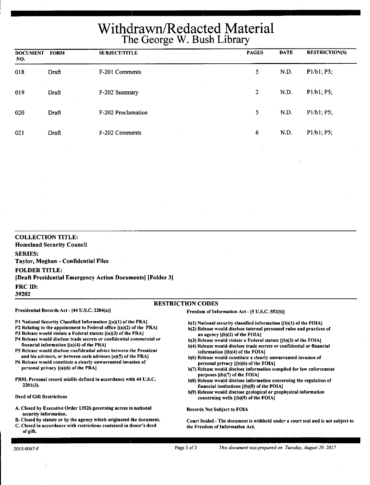## Withdrawn/Redacted Material The George W. Bush Library

| <b>DOCUMENT</b><br>NO. | <b>FORM</b> | <b>SUBJECT/TITLE</b>                 | <b>PAGES</b>   | <b>DATE</b> | <b>RESTRICTION(S)</b> |
|------------------------|-------------|--------------------------------------|----------------|-------------|-----------------------|
| 018                    | Draft       | $\mathbf{v}^{(k)}$<br>F-201 Comments | 5              | N.D.        | P1/b1; P5;            |
| 019                    | Draft       | F-202 Summary                        | $\overline{2}$ | N.D.        | P1/b1; P5;            |
| 020                    | Draft       | F-202 Proclamation                   | 5              | N.D.        | P1/b1; P5;            |
| 021                    | Draft       | F-202 Comments                       | 6              | N.D.        | P1/b1; P5;            |

Pl National Security Classified Information [(a)(l) of the PRA) P2 Relating to the appointment to Federal office  $[(a)(2)$  of the PRA] PJ Release would violate a Federal statute [(a)(3) of the PRA) P4 Release would disclose trade secrets or confidential commercial or

P5 Release would disclose confidential advice between the President and his advisors, or between such advisors (a)(S) of the PRA) P6 Release would constitute a clearly unwarranted invasion of

PRM. Personal record misfile defined in accordance with 44 U.S.C.

A. Closed by Executive Order 13526 governing access to national

B. Closed by statute or by the agency which originated the document. C. Closed in accordance with restrictions contained in donor's deed

#### RESTRICTION CODES

#### Presidential Records Act- [44 U.S.C. 2204(a))

#### Freedom of Information Act- [5 U.S.C. 552(b))

financial information  $|(a)(4)$  of the PRA

personal privacy ((a)(6) of the PRAJ

- b(l) National security classified information [(b)(l) of the FOIAJ b(2) Release would disclose internal personnel rules and practices of
- an agency ((b)(2) of the FOIAI
- b(3) Release would violate a Federal statute  $($ (b)(3) of the FOIA)
- b(4) Release would disclose trade secrets or confidential or financial information ((b)(4) of the FOIAI
- b(6) Release would constitute a clearly unwarranted invasion of personal privacy ((b)(6) of the FOIA]
- b(7) Release would disclose information compiled for law enforcement purposes ((b)(7) of the FOIAJ
- b(8) Release would disclose information concerning the regulation of financial institutions ((b)(S) of the FOIA)
- b(9) Release would disclose geological or geophysical information concerning wells ((b)(9) of the FOIAI

Records Not Subject to FOIA

Court Sealed - The document is withheld under a court seal and is not subject to the Freedom of Information Act.

of gift.

2201(3).

Deed of Gift Restrictions

security information.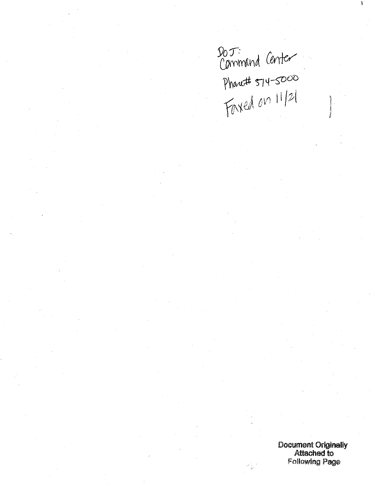$90T:$  *Cammand Center ~Y\O~* ~ *tf---g>OO Forsed on 11/21* 

Document Originally Attached to Following Page

 $\frac{1}{2}$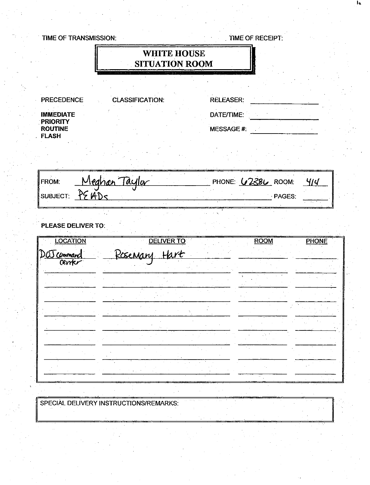|                                | TIME OF TRANSMISSION:                  |                                             | TIME OF RECEIPT:          |              |
|--------------------------------|----------------------------------------|---------------------------------------------|---------------------------|--------------|
|                                |                                        | <b>WHITE HOUSE</b><br><b>SITUATION ROOM</b> |                           |              |
|                                |                                        |                                             |                           |              |
| <b>PRECEDENCE</b>              | <b>CLASSIFICATION:</b>                 | <b>RELEASER:</b>                            |                           |              |
| <b>IMMEDIATE</b><br>PRIORITY   |                                        | DATE/TIME:                                  |                           |              |
| <b>ROUTINE</b><br><b>FLASH</b> |                                        |                                             | MESSAGE#:                 |              |
|                                |                                        |                                             |                           |              |
| FROM:                          | Meghan Taylor                          |                                             | PHONE: <b>62386</b> ROOM: | 4/4          |
|                                | SUBJECT: PE ADS                        |                                             | · PAGES:                  |              |
| <b>LOCATION</b>                | PLEASE DELIVER TO:                     | <b>DELIVER TO</b>                           | <b>ROOM</b>               | <b>PHONE</b> |
| D <u>OJ command</u><br>Cerrier | <u>Rosenang</u>                        | <u>Hart</u>                                 |                           |              |
|                                |                                        |                                             |                           |              |
|                                |                                        |                                             |                           |              |
|                                |                                        |                                             |                           |              |
|                                |                                        |                                             |                           |              |
|                                |                                        |                                             |                           |              |
|                                |                                        |                                             |                           |              |
|                                | SPECIAL DELIVERY INSTRUCTIONS/REMARKS: |                                             |                           |              |

 $\frac{1}{2}$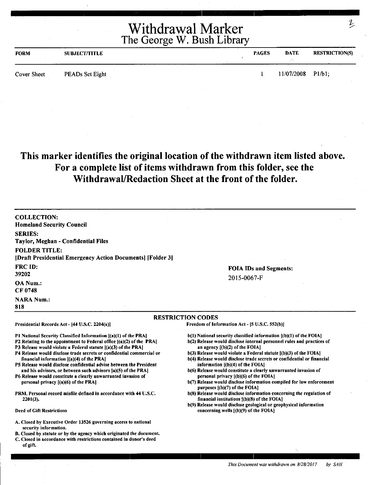| <b>FORM</b> | <b>SUBJECT/TITLE</b> | <b>PAGES</b> | <b>DATE</b> | <b>RESTRICTION(S)</b> |
|-------------|----------------------|--------------|-------------|-----------------------|
| Cover Sheet | PEADs Set Eight      |              | 11/07/2008  | $P1/b1$ :             |

## **This marker identifies the original location of the withdrawn item listed above. For a complete list of items withdrawn from this folder, see the Withdrawal/Redaction Sheet at the front of the folder.**

| <b>COLLECTION:</b><br><b>Homeland Security Council</b>                                                                                                                                                                                                                                                                                                                                                                                                                                                                                                                                                                                                                 |                                                                                                                                                                                                                                                                                                                                                                                                                                                                                                                                                                                                                                                                                                                         |
|------------------------------------------------------------------------------------------------------------------------------------------------------------------------------------------------------------------------------------------------------------------------------------------------------------------------------------------------------------------------------------------------------------------------------------------------------------------------------------------------------------------------------------------------------------------------------------------------------------------------------------------------------------------------|-------------------------------------------------------------------------------------------------------------------------------------------------------------------------------------------------------------------------------------------------------------------------------------------------------------------------------------------------------------------------------------------------------------------------------------------------------------------------------------------------------------------------------------------------------------------------------------------------------------------------------------------------------------------------------------------------------------------------|
| <b>SERIES:</b><br>Taylor, Meghan - Confidential Files                                                                                                                                                                                                                                                                                                                                                                                                                                                                                                                                                                                                                  |                                                                                                                                                                                                                                                                                                                                                                                                                                                                                                                                                                                                                                                                                                                         |
| <b>FOLDER TITLE:</b><br>[Draft Presidential Emergency Action Documents] [Folder 3]                                                                                                                                                                                                                                                                                                                                                                                                                                                                                                                                                                                     |                                                                                                                                                                                                                                                                                                                                                                                                                                                                                                                                                                                                                                                                                                                         |
| <b>FRC ID:</b><br>39202                                                                                                                                                                                                                                                                                                                                                                                                                                                                                                                                                                                                                                                | <b>FOIA IDs and Segments:</b><br>2015-0067-F                                                                                                                                                                                                                                                                                                                                                                                                                                                                                                                                                                                                                                                                            |
| OA Num.:<br>CF 0748                                                                                                                                                                                                                                                                                                                                                                                                                                                                                                                                                                                                                                                    |                                                                                                                                                                                                                                                                                                                                                                                                                                                                                                                                                                                                                                                                                                                         |
| <b>NARA Num.:</b><br>818                                                                                                                                                                                                                                                                                                                                                                                                                                                                                                                                                                                                                                               |                                                                                                                                                                                                                                                                                                                                                                                                                                                                                                                                                                                                                                                                                                                         |
|                                                                                                                                                                                                                                                                                                                                                                                                                                                                                                                                                                                                                                                                        | <b>RESTRICTION CODES</b>                                                                                                                                                                                                                                                                                                                                                                                                                                                                                                                                                                                                                                                                                                |
| Presidential Records Act - [44 U.S.C. 2204(a)]                                                                                                                                                                                                                                                                                                                                                                                                                                                                                                                                                                                                                         | Freedom of Information Act - [5 U.S.C. 552(b)]                                                                                                                                                                                                                                                                                                                                                                                                                                                                                                                                                                                                                                                                          |
| P1 National Security Classified Information [(a)(1) of the PRA]<br>P2 Relating to the appointment to Federal office ((a)(2) of the PRA]<br>P3 Release would violate a Federal statute [(a)(3) of the PRA]<br>P4 Release would disclose trade secrets or confidential commercial or<br>financial information [(a)(4) of the PRA]<br>P5 Release would disclose confidential advise between the President<br>and his advisors, or between such advisors [a](5) of the PRA]<br>P6 Release would constitute a clearly unwarranted invasion of<br>personal privacy $[(a)(6)$ of the PRA]<br>PRM. Personal record misfile defined in accordance with 44 U.S.C.<br>$2201(3)$ . | b(1) National security classified information [(b)(1) of the FOIA]<br>b(2) Release would disclose internal personnel rules and practices of<br>an agency $[(b)(2)$ of the FOIA]<br>$b(3)$ Release would violate a Federal statute $(6)(3)$ of the FOIA<br>b(4) Release would disclose trade secrets or confidential or financial<br>information $[(b)(4)$ of the FOIA]<br>b(6) Release would constitute a clearly unwarranted invasion of<br>personal privacy $(6)(6)$ of the FOIA]<br>b(7) Release would disclose information compiled for law enforcement<br>purposes $[(b)(7)$ of the FOIA]<br>b(8) Release would disclose information concerning the regulation of<br>financial institutions $f(b)(8)$ of the FOIA] |
| <b>Deed of Gift Restrictions</b>                                                                                                                                                                                                                                                                                                                                                                                                                                                                                                                                                                                                                                       | b(9) Release would disclose geological or geophysical information<br>concerning wells [(b)(9) of the FOIA]                                                                                                                                                                                                                                                                                                                                                                                                                                                                                                                                                                                                              |
| A. Closed by Executive Order 13526 governing access to national<br>security information.<br>B. Closed by statute or by the agency which originated the document.<br>C. Closed in accordance with restrictions contained in donor's deed<br>of gift.                                                                                                                                                                                                                                                                                                                                                                                                                    |                                                                                                                                                                                                                                                                                                                                                                                                                                                                                                                                                                                                                                                                                                                         |

 $\mathcal{L}_{\mathcal{L}}$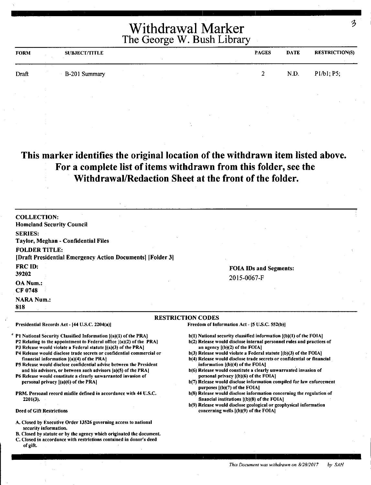| <b>FORM</b> | <b>SUBJECT/TITLE</b> | <b>PAGES</b> | <b>DATE</b> | <b>RESTRICTION(S)</b> |
|-------------|----------------------|--------------|-------------|-----------------------|
| Draft       | B-201 Summary        |              | N.D.        | P1/b1; P5;            |

#### **This marker identifies the original location of the withdrawn item listed above. For a complete list of items withdrawn from this folder, see the Withdrawal/Redaction Sheet at the front of the folder.**

| <b>COLLECTION:</b>                                                                                                                                       |                                                                                                                                             |
|----------------------------------------------------------------------------------------------------------------------------------------------------------|---------------------------------------------------------------------------------------------------------------------------------------------|
| <b>Homeland Security Council</b>                                                                                                                         |                                                                                                                                             |
| <b>SERIES:</b>                                                                                                                                           |                                                                                                                                             |
| Taylor, Meghan - Confidential Files                                                                                                                      |                                                                                                                                             |
| <b>FOLDER TITLE:</b>                                                                                                                                     |                                                                                                                                             |
| [Draft Presidential Emergency Action Documents] [Folder 3]                                                                                               |                                                                                                                                             |
| <b>FRC ID:</b>                                                                                                                                           | <b>FOIA IDs and Segments:</b>                                                                                                               |
| 39202                                                                                                                                                    |                                                                                                                                             |
| <b>OA</b> Num.:<br>CF 0748                                                                                                                               | 2015-0067-F                                                                                                                                 |
| <b>NARA Num.:</b>                                                                                                                                        |                                                                                                                                             |
| 818                                                                                                                                                      |                                                                                                                                             |
|                                                                                                                                                          | <b>RESTRICTION CODES</b>                                                                                                                    |
| Presidential Records Act - [44 U.S.C. 2204(a)]                                                                                                           | Freedom of Information Act - [5 U.S.C. 552(b)]                                                                                              |
| $\degree$ P1 National Security Classified Information [(a)(1) of the PRA]<br><b>P2 Relating to the appointment to Federal office [(a)(2) of the PRA]</b> | b(1) National security classified information [(b)(1) of the FOIA]<br>b(2) Release would disclose internal personnel rules and practices of |
| P3 Release would violate a Federal statute [(a)(3) of the PRA]                                                                                           | an agency $[(b)(2)$ of the FOIA]                                                                                                            |

- P4 Release would disclose trade secrets or confidential commercial or financial information ((a)(4) of the PRAJ
- PS Release would disclose confidential advise between the President and his advisors, or between such advisors (a)(S) of the PRAJ
- P6 Release would constitute a clearly unwarranted invasion of personal privacy  $\{(a)(6)$  of the PRA]
- PRM. Personal record misfile defined in accordance with 44 U.S.C. 2201(3),
- Deed of Gift Restrictions
- A. Closed by Executive Order 13526 governing access to national security information.
- 8. Closed by statute or by the agency which originated the document.
- C. Closed in accordance with restrictions contained in donor's deed of gift.
- an agency  $[(b)(2)$  of the FOIA]
- $b(3)$  Release would violate a Federal statute  $(6)(3)$  of the FOIA]
- b(4) Release would disclose trade secrets or confidential or financial information ((b)(4) of the FOIAJ
- b(6) Release would constitute a clearly unwarranted invasion of personal privacy f(b)(6) of the FOIA)
- b(7) Release would disclose information compiled for law enforcement purposes [(b)(7) of the FOIA]
- b(8) Release would disclose information concerning the regulation of financial institutions  $[(b)(8)$  of the FOIA]
- b(9) Release would disclose geological or geophysical information concerning wells ((b)(9) of the FOIA)

z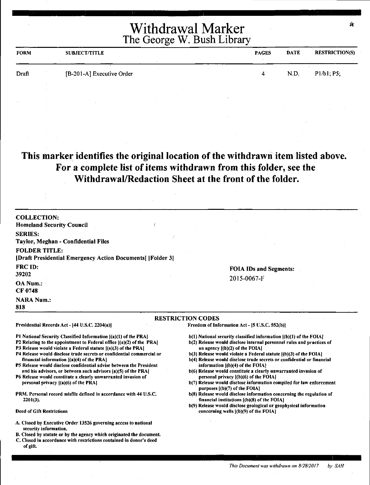| <b>FORM</b> | <b>SUBJECT/TITLE</b>      | <b>PAGES</b> | <b>DATE</b> | <b>RESTRICTION(S)</b> |
|-------------|---------------------------|--------------|-------------|-----------------------|
| Draft       | [B-201-A] Executive Order | 4            | N.D.        | P1/b1, P5;            |
|             |                           |              |             |                       |

## This marker identifies the original location of the withdrawn item listed above. **For a complete list of items withdrawn from this folder, see the Withdrawal/Redaction Sheet at the front of the folder.**

| <b>COLLECTION:</b><br><b>Homeland Security Council</b>                                                                                                                                                                                                                                                                                                                                                                                                                                                                                                                                                                                                                                                     |                                                                                                                                                                                                                                                                                                                                                                                                                                                                                                                                                                                                                                                                                                                                                                                                                                                   |
|------------------------------------------------------------------------------------------------------------------------------------------------------------------------------------------------------------------------------------------------------------------------------------------------------------------------------------------------------------------------------------------------------------------------------------------------------------------------------------------------------------------------------------------------------------------------------------------------------------------------------------------------------------------------------------------------------------|---------------------------------------------------------------------------------------------------------------------------------------------------------------------------------------------------------------------------------------------------------------------------------------------------------------------------------------------------------------------------------------------------------------------------------------------------------------------------------------------------------------------------------------------------------------------------------------------------------------------------------------------------------------------------------------------------------------------------------------------------------------------------------------------------------------------------------------------------|
| <b>SERIES:</b>                                                                                                                                                                                                                                                                                                                                                                                                                                                                                                                                                                                                                                                                                             |                                                                                                                                                                                                                                                                                                                                                                                                                                                                                                                                                                                                                                                                                                                                                                                                                                                   |
| Taylor, Meghan - Confidential Files                                                                                                                                                                                                                                                                                                                                                                                                                                                                                                                                                                                                                                                                        |                                                                                                                                                                                                                                                                                                                                                                                                                                                                                                                                                                                                                                                                                                                                                                                                                                                   |
| <b>FOLDER TITLE:</b><br>[Draft Presidential Emergency Action Documents] [Folder 3]                                                                                                                                                                                                                                                                                                                                                                                                                                                                                                                                                                                                                         |                                                                                                                                                                                                                                                                                                                                                                                                                                                                                                                                                                                                                                                                                                                                                                                                                                                   |
| <b>FRC ID:</b>                                                                                                                                                                                                                                                                                                                                                                                                                                                                                                                                                                                                                                                                                             | <b>FOIA IDs and Segments:</b>                                                                                                                                                                                                                                                                                                                                                                                                                                                                                                                                                                                                                                                                                                                                                                                                                     |
| 39202                                                                                                                                                                                                                                                                                                                                                                                                                                                                                                                                                                                                                                                                                                      | 2015-0067-F                                                                                                                                                                                                                                                                                                                                                                                                                                                                                                                                                                                                                                                                                                                                                                                                                                       |
| OA Num.:<br><b>CF 0748</b>                                                                                                                                                                                                                                                                                                                                                                                                                                                                                                                                                                                                                                                                                 |                                                                                                                                                                                                                                                                                                                                                                                                                                                                                                                                                                                                                                                                                                                                                                                                                                                   |
| <b>NARA Num.:</b><br>818                                                                                                                                                                                                                                                                                                                                                                                                                                                                                                                                                                                                                                                                                   |                                                                                                                                                                                                                                                                                                                                                                                                                                                                                                                                                                                                                                                                                                                                                                                                                                                   |
|                                                                                                                                                                                                                                                                                                                                                                                                                                                                                                                                                                                                                                                                                                            | <b>RESTRICTION CODES</b>                                                                                                                                                                                                                                                                                                                                                                                                                                                                                                                                                                                                                                                                                                                                                                                                                          |
| Presidential Records Act - [44 U.S.C. 2204(a)]                                                                                                                                                                                                                                                                                                                                                                                                                                                                                                                                                                                                                                                             | Freedom of Information Act - [5 U.S.C. 552(b)]                                                                                                                                                                                                                                                                                                                                                                                                                                                                                                                                                                                                                                                                                                                                                                                                    |
| P1 National Security Classified Information [(a)(1) of the PRA]<br>P2 Relating to the appointment to Federal office [(a)(2) of the PRA]<br>P3 Release would violate a Federal statute [(a)(3) of the PRA]<br>P4 Release would disclose trade secrets or confidential commercial or<br>financial information [(a)(4) of the PRA]<br>P5 Release would disclose confidential advise between the President<br>and his advisors, or between such advisors [a)(5) of the PRA]<br>P6 Release would constitute a clearly unwarranted invasion of<br>personal privacy $[(a)(6)$ of the PRA]<br>PRM. Personal record misfile defined in accordance with 44 U.S.C.<br>$2201(3)$ .<br><b>Deed of Gift Restrictions</b> | $b(1)$ National security classified information $(a)(1)$ of the FOIA?<br>b(2) Release would disclose internal personnel rules and practices of<br>an agency $[(b)(2)$ of the FOIA]<br>$b(3)$ Release would violate a Federal statute $(6)(3)$ of the FOIA]<br>b(4) Release would disclose trade secrets or confidential or financial<br>information $[(b)(4)$ of the FOIA?<br>b(6) Release would constitute a clearly unwarranted invasion of<br>personal privacy [(b)(6) of the FOIA]<br>b(7) Release would disclose information compiled for law enforcement<br>purposes $($ (b) $(7)$ of the FOIA $]$<br>b(8) Release would disclose information concerning the regulation of<br>financial institutions $[(b)(8)$ of the FOIA]<br>b(9) Release would disclose geological or geophysical information<br>concerning wells $[(b)(9)$ of the FOIA] |
| A. Closed by Executive Order 13526 governing access to national<br>security information.<br>B. Closed by statute or by the agency which originated the document.<br>C. Closed in accordance with restrictions contained in donor's deed<br>of gift.                                                                                                                                                                                                                                                                                                                                                                                                                                                        |                                                                                                                                                                                                                                                                                                                                                                                                                                                                                                                                                                                                                                                                                                                                                                                                                                                   |

Ú.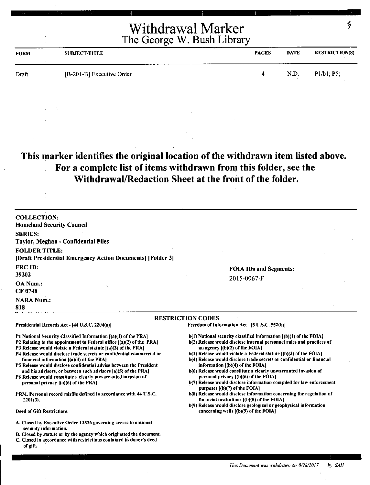| <b>FORM</b> | <b>SUBJECT/TITLE</b>      | <b>PAGES</b> | <b>DATE</b> | <b>RESTRICTION(S)</b> |
|-------------|---------------------------|--------------|-------------|-----------------------|
| Draft       | [B-201-B] Executive Order |              | N.D.        | P1/b1; P5;            |

## **This marker identifies the original location of the withdrawn item listed above. For a complete list of items withdrawn from this folder, see the Withdrawal/Redaction Sheet at the front of the folder.**

| <b>COLLECTION:</b><br><b>Homeland Security Council</b>                                                                                                                                                             |                                                                                                                                                                                    |
|--------------------------------------------------------------------------------------------------------------------------------------------------------------------------------------------------------------------|------------------------------------------------------------------------------------------------------------------------------------------------------------------------------------|
| <b>SERIES:</b>                                                                                                                                                                                                     |                                                                                                                                                                                    |
| Taylor, Meghan - Confidential Files                                                                                                                                                                                |                                                                                                                                                                                    |
| <b>FOLDER TITLE:</b><br>[Draft Presidential Emergency Action Documents] [Folder 3]                                                                                                                                 |                                                                                                                                                                                    |
| FRC ID:                                                                                                                                                                                                            | <b>FOIA IDs and Segments:</b>                                                                                                                                                      |
| 39202                                                                                                                                                                                                              | 2015-0067-F                                                                                                                                                                        |
| <b>OA Num.:</b><br>۰,<br>CF 0748                                                                                                                                                                                   |                                                                                                                                                                                    |
| <b>NARA Num.:</b><br>818                                                                                                                                                                                           |                                                                                                                                                                                    |
|                                                                                                                                                                                                                    | <b>RESTRICTION CODES</b>                                                                                                                                                           |
| Presidential Records Act - [44 U.S.C. 2204(a)]                                                                                                                                                                     | Freedom of Information Act - [5 U.S.C. 552(b)]                                                                                                                                     |
| P1 National Security Classified Information [(a)(1) of the PRA]<br>P2 Relating to the appointment to Federal office $[(a)(2)$ of the PRA]<br><b>P3 Release would violate a Federal statute [(a)(3) of the PRA]</b> | $b(1)$ National security classified information $(a)(1)$ of the FOIA.<br>b(2) Release would disclose internal personnel rules and practices of<br>an agency $[(b)(2)$ of the FOIA] |
| P4 Release would disclose trade secrets or confidential commercial or<br>financial information $[(a)(4)$ of the PRA                                                                                                | $b(3)$ Release would violate a Federal statute $(b)(3)$ of the FOIA]<br>b(4) Release would disclose trade secrets or confidential or financial                                     |
| P5 Release would disclose confidential advise between the President                                                                                                                                                | information $[(b)(4)$ of the FOIA]                                                                                                                                                 |
| and his advisors, or between such advisors (a)(5) of the PRA]<br>P6 Release would constitute a clearly unwarranted invasion of                                                                                     | b(6) Release would constitute a clearly unwarranted invasion of<br>personal privacy [(b)(6) of the FOIA]                                                                           |
| personal privacy $[(a)(6)$ of the PRA]                                                                                                                                                                             | b(7) Release would disclose information compiled for law enforcement<br>purposes $[(b)(7)$ of the FOIA]                                                                            |
| PRM. Personal record misfile defined in accordance with 44 U.S.C.<br>$2201(3)$ .                                                                                                                                   | b(8) Release would disclose information concerning the regulation of<br>financial institutions $(6)(8)$ of the FOIA?                                                               |
|                                                                                                                                                                                                                    | b(9) Release would disclose geological or geophysical information                                                                                                                  |
| <b>Deed of Gift Restrictions</b>                                                                                                                                                                                   | concerning wells $[(b)(9)$ of the FOIA]                                                                                                                                            |

- A. Closed by Executive Order 13526 governing access to national security information.
- B. Closed by statute or by the agency which originated the document.
- C. Closed in accordance with restrictions contained in donor's deed of gift.

*This Document was withdrawn on 8/28/2017* by *SAH* 

 $\mathcal{L}_{\mathcal{D}}$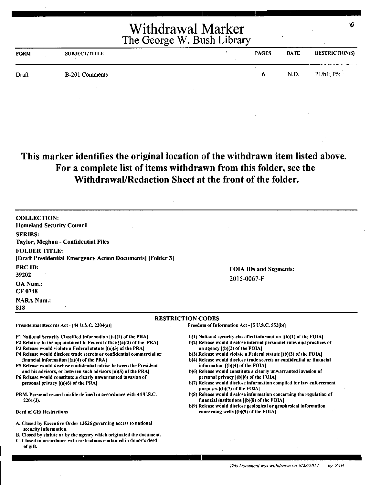| <b>FORM</b> | <b>SUBJECT/TITLE</b> | <b>PAGES</b> | <b>DATE</b> | <b>RESTRICTION(S)</b> |
|-------------|----------------------|--------------|-------------|-----------------------|
| Draft       | B-201 Comments       | 6            | N.D.        | P1/b1; P5;            |
|             |                      |              |             |                       |

## **This marker identifies the original location of the withdrawn item listed above. For a complete list of items withdrawn from this folder, see the Withdrawal/Redaction Sheet at the front of the folder.**

| <b>COLLECTION:</b><br><b>Homeland Security Council</b>                                                                                                                                                                                                                                                                                                                                                                                                                                                                                                                                                                                                                                                     |                                                                                                                                                                                                                                                                                                                                                                                                                                                                                                                                                                                                                                                                                                                                                                                                                                               |
|------------------------------------------------------------------------------------------------------------------------------------------------------------------------------------------------------------------------------------------------------------------------------------------------------------------------------------------------------------------------------------------------------------------------------------------------------------------------------------------------------------------------------------------------------------------------------------------------------------------------------------------------------------------------------------------------------------|-----------------------------------------------------------------------------------------------------------------------------------------------------------------------------------------------------------------------------------------------------------------------------------------------------------------------------------------------------------------------------------------------------------------------------------------------------------------------------------------------------------------------------------------------------------------------------------------------------------------------------------------------------------------------------------------------------------------------------------------------------------------------------------------------------------------------------------------------|
| <b>SERIES:</b><br>Taylor, Meghan - Confidential Files                                                                                                                                                                                                                                                                                                                                                                                                                                                                                                                                                                                                                                                      |                                                                                                                                                                                                                                                                                                                                                                                                                                                                                                                                                                                                                                                                                                                                                                                                                                               |
| <b>FOLDER TITLE:</b><br>[Draft Presidential Emergency Action Documents] [Folder 3]                                                                                                                                                                                                                                                                                                                                                                                                                                                                                                                                                                                                                         |                                                                                                                                                                                                                                                                                                                                                                                                                                                                                                                                                                                                                                                                                                                                                                                                                                               |
| <b>FRC ID:</b><br>39202                                                                                                                                                                                                                                                                                                                                                                                                                                                                                                                                                                                                                                                                                    | <b>FOIA IDs and Segments:</b>                                                                                                                                                                                                                                                                                                                                                                                                                                                                                                                                                                                                                                                                                                                                                                                                                 |
| OA Num.:<br>CF 0748                                                                                                                                                                                                                                                                                                                                                                                                                                                                                                                                                                                                                                                                                        | 2015-0067-F                                                                                                                                                                                                                                                                                                                                                                                                                                                                                                                                                                                                                                                                                                                                                                                                                                   |
| <b>NARA Num.:</b><br>818                                                                                                                                                                                                                                                                                                                                                                                                                                                                                                                                                                                                                                                                                   |                                                                                                                                                                                                                                                                                                                                                                                                                                                                                                                                                                                                                                                                                                                                                                                                                                               |
|                                                                                                                                                                                                                                                                                                                                                                                                                                                                                                                                                                                                                                                                                                            | <b>RESTRICTION CODES</b>                                                                                                                                                                                                                                                                                                                                                                                                                                                                                                                                                                                                                                                                                                                                                                                                                      |
| Presidential Records Act - [44 U.S.C. 2204(a)]                                                                                                                                                                                                                                                                                                                                                                                                                                                                                                                                                                                                                                                             | Freedom of Information Act - [5 U.S.C. 552(b)]                                                                                                                                                                                                                                                                                                                                                                                                                                                                                                                                                                                                                                                                                                                                                                                                |
| P1 National Security Classified Information [(a)(1) of the PRA]<br>P2 Relating to the appointment to Federal office $[(a)(2)$ of the PRA]<br>P3 Release would violate a Federal statute [(a)(3) of the PRA]<br>P4 Release would disclose trade secrets or confidential commercial or<br>financial information [(a)(4) of the PRA]<br>P5 Release would disclose confidential advise between the President<br>and his advisors, or between such advisors [a)(5) of the PRA]<br>P6 Release would constitute a clearly unwarranted invasion of<br>personal privacy [(a)(6) of the PRA]<br>PRM. Personal record misfile defined in accordance with 44 U.S.C.<br>$2201(3)$ .<br><b>Deed of Gift Restrictions</b> | $b(1)$ National security classified information $[(b)(1)$ of the FOIA<br>b(2) Release would disclose internal personnel rules and practices of<br>an agency $[(b)(2)$ of the FOIA]<br>$b(3)$ Release would violate a Federal statute $[(b)(3)$ of the FOIA $]$<br>b(4) Release would disclose trade secrets or confidential or financial<br>information $[(b)(4)$ of the $FOIA]$<br>b(6) Release would constitute a clearly unwarranted invasion of<br>personal privacy [(b)(6) of the FOIA]<br>b(7) Release would disclose information compiled for law enforcement<br>purposes $  (b)(7)$ of the FOIA]<br>b(8) Release would disclose information concerning the regulation of<br>financial institutions [(b)(8) of the FOIA]<br>b(9) Release would disclose geological or geophysical information<br>concerning wells [(b)(9) of the FOIA] |
| A. Closed by Executive Order 13526 governing access to national<br>security information.<br>B. Closed by statute or by the agency which originated the document.<br>C. Closed in accordance with restrictions contained in donor's deed<br>of gift.                                                                                                                                                                                                                                                                                                                                                                                                                                                        |                                                                                                                                                                                                                                                                                                                                                                                                                                                                                                                                                                                                                                                                                                                                                                                                                                               |

Ø.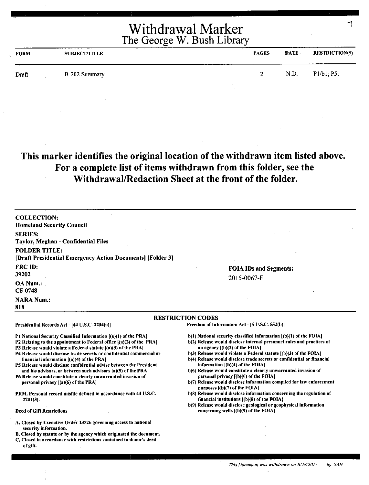| <b>FORM</b> | <b>SUBJECT/TITLE</b> |                                   | <b>PAGES</b>  | <b>DATE</b> | <b>RESTRICTION(S)</b> |
|-------------|----------------------|-----------------------------------|---------------|-------------|-----------------------|
| Draft       | B-202 Summary        |                                   | $\mathcal{D}$ | N.D.        | P1/b1; P5;            |
|             |                      | <b>Contract Contract Contract</b> |               |             |                       |

## **This marker identifies the original location of the withdrawn item listed above. For a complete list of items withdrawn from this folder, see the Withdrawal/Redaction Sheet at the front of the folder.**

| <b>COLLECTION:</b>                                                                                                                                                                                                                                                                                                                                                                                                                                                                                                                                                                                                                                                                                          |                                                                                                                                                                                                                                                                                                                                                                                                                                                                                                                                                                                                                                                                                                                                                                                                                                          |
|-------------------------------------------------------------------------------------------------------------------------------------------------------------------------------------------------------------------------------------------------------------------------------------------------------------------------------------------------------------------------------------------------------------------------------------------------------------------------------------------------------------------------------------------------------------------------------------------------------------------------------------------------------------------------------------------------------------|------------------------------------------------------------------------------------------------------------------------------------------------------------------------------------------------------------------------------------------------------------------------------------------------------------------------------------------------------------------------------------------------------------------------------------------------------------------------------------------------------------------------------------------------------------------------------------------------------------------------------------------------------------------------------------------------------------------------------------------------------------------------------------------------------------------------------------------|
| <b>Homeland Security Council</b>                                                                                                                                                                                                                                                                                                                                                                                                                                                                                                                                                                                                                                                                            |                                                                                                                                                                                                                                                                                                                                                                                                                                                                                                                                                                                                                                                                                                                                                                                                                                          |
| <b>SERIES:</b>                                                                                                                                                                                                                                                                                                                                                                                                                                                                                                                                                                                                                                                                                              |                                                                                                                                                                                                                                                                                                                                                                                                                                                                                                                                                                                                                                                                                                                                                                                                                                          |
| Taylor, Meghan - Confidential Files                                                                                                                                                                                                                                                                                                                                                                                                                                                                                                                                                                                                                                                                         |                                                                                                                                                                                                                                                                                                                                                                                                                                                                                                                                                                                                                                                                                                                                                                                                                                          |
| <b>FOLDER TITLE:</b>                                                                                                                                                                                                                                                                                                                                                                                                                                                                                                                                                                                                                                                                                        |                                                                                                                                                                                                                                                                                                                                                                                                                                                                                                                                                                                                                                                                                                                                                                                                                                          |
| [Draft Presidential Emergency Action Documents] [Folder 3]                                                                                                                                                                                                                                                                                                                                                                                                                                                                                                                                                                                                                                                  |                                                                                                                                                                                                                                                                                                                                                                                                                                                                                                                                                                                                                                                                                                                                                                                                                                          |
| FRC ID:                                                                                                                                                                                                                                                                                                                                                                                                                                                                                                                                                                                                                                                                                                     | <b>FOIA IDs and Segments:</b>                                                                                                                                                                                                                                                                                                                                                                                                                                                                                                                                                                                                                                                                                                                                                                                                            |
| 39202                                                                                                                                                                                                                                                                                                                                                                                                                                                                                                                                                                                                                                                                                                       | 2015-0067-F                                                                                                                                                                                                                                                                                                                                                                                                                                                                                                                                                                                                                                                                                                                                                                                                                              |
| OA Num.:                                                                                                                                                                                                                                                                                                                                                                                                                                                                                                                                                                                                                                                                                                    |                                                                                                                                                                                                                                                                                                                                                                                                                                                                                                                                                                                                                                                                                                                                                                                                                                          |
| <b>CF 0748</b>                                                                                                                                                                                                                                                                                                                                                                                                                                                                                                                                                                                                                                                                                              |                                                                                                                                                                                                                                                                                                                                                                                                                                                                                                                                                                                                                                                                                                                                                                                                                                          |
| <b>NARA Num.:</b><br>818                                                                                                                                                                                                                                                                                                                                                                                                                                                                                                                                                                                                                                                                                    |                                                                                                                                                                                                                                                                                                                                                                                                                                                                                                                                                                                                                                                                                                                                                                                                                                          |
|                                                                                                                                                                                                                                                                                                                                                                                                                                                                                                                                                                                                                                                                                                             |                                                                                                                                                                                                                                                                                                                                                                                                                                                                                                                                                                                                                                                                                                                                                                                                                                          |
| Presidential Records Act - [44 U.S.C. 2204(a)]                                                                                                                                                                                                                                                                                                                                                                                                                                                                                                                                                                                                                                                              | <b>RESTRICTION CODES</b><br>Freedom of Information Act - [5 U.S.C. 552(b)]                                                                                                                                                                                                                                                                                                                                                                                                                                                                                                                                                                                                                                                                                                                                                               |
| P1 National Security Classified Information [(a)(1) of the PRA]<br>P2 Relating to the appointment to Federal office {(a)(2) of the PRA]<br>P3 Release would violate a Federal statute ((a)(3) of the PRA]<br>P4 Release would disclose trade secrets or confidential commercial or<br>financial information $[(a)(4)$ of the PRA<br>P5 Release would disclose confidential advise between the President<br>and his advisors, or between such advisors [a](5) of the PRA]<br>P6 Release would constitute a clearly unwarranted invasion of<br>personal privacy $[(a)(6)$ of the PRA]<br>PRM. Personal record misfile defined in accordance with 44 U.S.C.<br>$2201(3)$ .<br><b>Deed of Gift Restrictions</b> | b(1) National security classified information [(b)(1) of the FOIA]<br>b(2) Release would disclose internal personnel rules and practices of<br>an agency $[(b)(2)$ of the FOIA]<br>$b(3)$ Release would violate a Federal statute $(a)(3)$ of the FOIA<br>b(4) Release would disclose trade secrets or confidential or financial<br>information [(b)(4) of the FOIA]<br>b(6) Release would constitute a clearly unwarranted invasion of<br>personal privacy [(b)(6) of the FOIA]<br>b(7) Release would disclose information compiled for law enforcement<br>purposes [(b)(7) of the FOIA]<br>b(8) Release would disclose information concerning the regulation of<br>financial institutions $(6)(8)$ of the FOIA]<br>b(9) Release would disclose geological or geophysical information<br>concerning wells $($ (b) $(9)$ of the FOIA $]$ |
|                                                                                                                                                                                                                                                                                                                                                                                                                                                                                                                                                                                                                                                                                                             |                                                                                                                                                                                                                                                                                                                                                                                                                                                                                                                                                                                                                                                                                                                                                                                                                                          |
| A. Closed by Executive Order 13526 governing access to national<br>security information.                                                                                                                                                                                                                                                                                                                                                                                                                                                                                                                                                                                                                    |                                                                                                                                                                                                                                                                                                                                                                                                                                                                                                                                                                                                                                                                                                                                                                                                                                          |
| B. Closed by statute or by the agency which originated the document.                                                                                                                                                                                                                                                                                                                                                                                                                                                                                                                                                                                                                                        |                                                                                                                                                                                                                                                                                                                                                                                                                                                                                                                                                                                                                                                                                                                                                                                                                                          |
| C. Closed in accordance with restrictions contained in donor's deed<br>of gift.                                                                                                                                                                                                                                                                                                                                                                                                                                                                                                                                                                                                                             |                                                                                                                                                                                                                                                                                                                                                                                                                                                                                                                                                                                                                                                                                                                                                                                                                                          |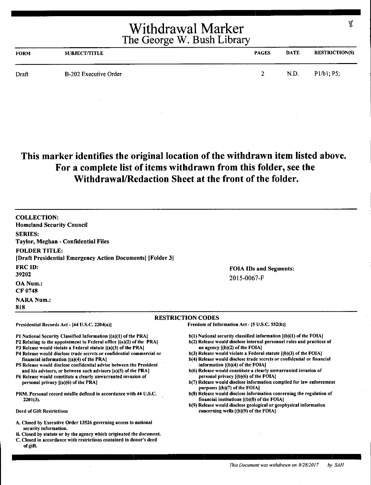| <b>FORM</b> | <b>SUBJECT/TITLE</b>  | <b>PAGES</b> | DATE | <b>RESTRICTION(S)</b> |
|-------------|-----------------------|--------------|------|-----------------------|
| Draft       | B-202 Executive Order | $2^{\circ}$  | N.D. | P1/b1; P5;            |
|             |                       |              |      |                       |

#### **This marker identifies the original location of the withdrawn item listed above. For a complete list of items withdrawn from this folder, see the Withdrawal/Redaction Sheet at the front of the folder.**

COLLECTION: Homeland Security Council SERIES: Taylor, Meghan - Confidential Files FOLDER TITLE: [Draft Presidential Emergency Action Documents] [Folder 3] FRCID: 39202 OA Num.: CF0748 **NARA Num.:** 818 FOIA IDs and Segments: 2015-0067-F RESTRICTION CODES Presidential Records Act - (44 U.S.C. 2204(a)] Pl National Security Classified Information ((a)(l) of the PRA) P2 Relating to the appointment to Federal office ((a)(2) of the PRA) P3 Release would violate a Federal statute  $[(a)(3)$  of the PRA] P4 Release would disclose trade secrets or confidential commercial or financial information ((a)(4) of the PRA) P5 Release would disclose confidential advise between the President and his advisors, or between such advisors [a)(S) of the PRAJ P6 Release would constitute a clearly unwarranted invasion of personal privacy ((a)(6) of the PRA] PRM. Personal record misfile defined in accordance with 44 U.S.C. 2201(3). Deed of Gift Restrictions A. Closed by Executive Order 13526 governing access to national security information. B. Closed by statute or by the agency which originated the document. C. Closed in accordance with restrictions contained in donor's deed Freedom of Information Act - (5 U.S.C. 552(b)) b(l) National security classified information ((b)(l) of the FOIA) b(2) Release would disclose internal personnel rules and practices of an agency  $[(b)(2)$  of the FOIA]  $b(3)$  Release would violate a Federal statute  $[(b)(3)$  of the FOIA] b(4) Release would disclose trade secrets or confidential or financial information  $[(b)(4)$  of the FOIA] b(6) Release would constitute a clearly unwarranted invasion of personal privacy [(b)(6) of the FOIA) b(7) Release would disclose information compiled for law enforcement purposes [(b)(7) of the FOIA] b(8) Release would disclose information concerning the regulation of financial institutions [(b)(8) of the FOIAI b(9) Release would disclose geological or geophysical information concerning wells [(b)(9) of the FOIA]

of gift.

```
This Document was withdrawn on 8/28/2017 by SAH
```
¥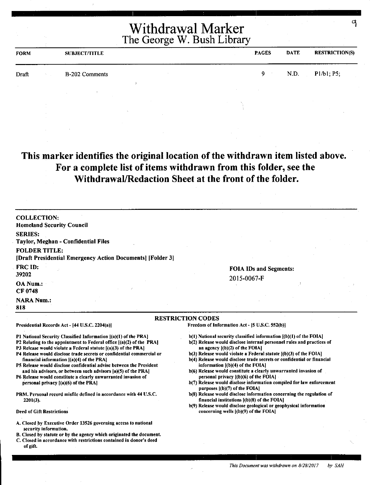| <b>FORM</b> | <b>SUBJECT/TITLE</b> |  | <b>PAGES</b> | <b>DATE</b> | <b>RESTRICTION(S)</b> |
|-------------|----------------------|--|--------------|-------------|-----------------------|
| Draft       | B-202 Comments       |  | <b>Q</b> .   | N.D.        | P1/b1, P5;            |
|             |                      |  |              |             |                       |

#### **This marker identifies the original location of the withdrawn item listed above. For a complete list of items withdrawn from this folder, see the Withdrawal/Redaction Sheet at the front of the folder.**

**RESTRICTION CODES** 

COLLECTION: Homeland Security Council SERIES: Taylor, Meghan - Confidential Files FOLDER TITLE: [Draft Presidential Emergency Action Documents] [Folder 3] FRC ID: 39202 OA Num.: CF0748 **NARA Num.:** 818

#### FOIA IDs and Segments: 2015-0067-F

#### Presidential Records Act - (44 U.S.C. 2204(a))

Pl National Security Classified Information ((a)(I) of the PRA]

- P2 Relating to the appointment to Federal office ((a)(2) of the PRAJ
- P3 Release would violate a Federal statute ((a)(3) of the PRA]
- P4 Release would disclose trade secrets or confidential commercial or financial information ((a)(4) of the PRA)
- PS Release would disclose confidential advise between the President and his advisors, or between such advisors (a)(S) of the PRA]
- P6 Release would constitute a clearly unwarranted invasion of personal privacy [(a)(6) of the PRA)
- PRM. Personal record misfile defined in accordance with 44 U.S.C. 2201(3).

#### Deed of Gift Restrictions

- A. Closed by Executive Order 13526 governing access to national security information.
- B. Closed by statute or by the agency which originated the document.
- C. Closed in accordance with restrictions contained in donor's deed of gift.

Freedom of Information Act - (S U.S.C. 552(b)]

- b(l) National security classified information ((b)(l) of the FOIA)
- b(2) Release would disclose internal personnel rules and practices of an agency ((b)(2) of the FOIAI
- $b(3)$  Release would violate a Federal statute  $[(b)(3)$  of the FOIA]
- b(4) Release would disclose trade secrets or confidential or financial information  $[(b)(4)$  of the FOIA]
- b(6) Release would constitute a clearly unwarranted invasion of personal privacy ((b)(6) of the FOIAI
- b(7) Release would disclose information compiled for law enforcement purposes  $[(b)(7)$  of the FOIA $]$
- b(S) Release would disclose information concerning the regulation of financial institutions ((b)(S) of the FOIA)
- b(9) Release would disclose geological or geophysical information concerning wells ((b)(9) of the FOIA)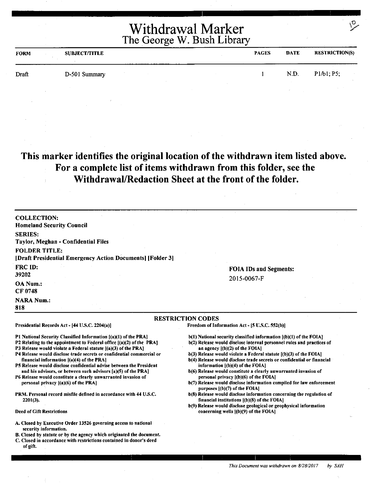| <b>FORM</b> | <b>SUBJECT/TITLE</b> | <b>PAGES</b> | <b>DATE</b> | <b>RESTRICTION(S)</b> |
|-------------|----------------------|--------------|-------------|-----------------------|
| Draft       | D-501 Summary        |              | N.D.        | P1/b1; P5;            |
|             |                      |              |             |                       |

## **This marker identifies the original location of the withdrawn item listed above. For a complete list of items withdrawn from this folder, see the Withdrawal/Redaction Sheet at the front of the folder.**

| <b>COLLECTION:</b><br><b>Homeland Security Council</b>                                                                                                                                                                                                                                                                           |                                                                                                                                                                                                                                                                                                                                 |
|----------------------------------------------------------------------------------------------------------------------------------------------------------------------------------------------------------------------------------------------------------------------------------------------------------------------------------|---------------------------------------------------------------------------------------------------------------------------------------------------------------------------------------------------------------------------------------------------------------------------------------------------------------------------------|
| <b>SERIES:</b><br>Taylor, Meghan - Confidential Files                                                                                                                                                                                                                                                                            |                                                                                                                                                                                                                                                                                                                                 |
| <b>FOLDER TITLE:</b><br>[Draft Presidential Emergency Action Documents] [Folder 3]                                                                                                                                                                                                                                               |                                                                                                                                                                                                                                                                                                                                 |
| <b>FRC ID:</b><br>39202                                                                                                                                                                                                                                                                                                          | <b>FOIA IDs and Segments:</b><br>2015-0067-F                                                                                                                                                                                                                                                                                    |
| OA Num.:<br>CF 0748                                                                                                                                                                                                                                                                                                              |                                                                                                                                                                                                                                                                                                                                 |
| <b>NARA Num.:</b><br>818                                                                                                                                                                                                                                                                                                         |                                                                                                                                                                                                                                                                                                                                 |
|                                                                                                                                                                                                                                                                                                                                  | <b>RESTRICTION CODES</b>                                                                                                                                                                                                                                                                                                        |
| Presidential Records Act - [44 U.S.C. 2204(a)]                                                                                                                                                                                                                                                                                   | Freedom of Information Act - [5 U.S.C. 552(b)]                                                                                                                                                                                                                                                                                  |
| P1 National Security Classified Information [(a)(1) of the PRA]<br>P2 Relating to the appointment to Federal office [(a)(2) of the PRA]<br>P3 Release would violate a Federal statute [(a)(3) of the PRA]<br>P4 Release would disclose trade secrets or confidential commercial or<br>financial information $[(a)(4)$ of the PRA | b(1) National security classified information [(b)(1) of the FOIA]<br>b(2) Release would disclose internal personnel rules and practices of<br>an agency [(b)(2) of the FOIA]<br>$b(3)$ Release would violate a Federal statute $(6)(3)$ of the FOIA]<br>b(4) Release would disclose trade secrets or confidential or financial |
| P5 Release would disclose confidential advise between the President<br>and his advisors, or between such advisors [a)(5) of the PRA]<br>P6 Release would constitute a clearly unwarranted invasion of<br>personal privacy $[(a)(6)$ of the PRA]                                                                                  | information $[(b)(4)$ of the FOIA]<br>b(6) Release would constitute a clearly unwarranted invasion of<br>personal privacy ((b)(6) of the FOIA]<br>b(7) Release would disclose information compiled for law enforcement                                                                                                          |
| PRM. Personal record misfile defined in accordance with 44 U.S.C.<br>$2201(3)$ .                                                                                                                                                                                                                                                 | purposes ((b)(7) of the FOIA]<br>b(8) Release would disclose information concerning the regulation of<br>financial institutions $[(b)(8)$ of the FOIA]<br>b(9) Release would disclose geological or geophysical information                                                                                                     |
| <b>Deed of Gift Restrictions</b>                                                                                                                                                                                                                                                                                                 | concerning wells [(b)(9) of the FOIA]                                                                                                                                                                                                                                                                                           |

- A. Closed by Executive Order 13526 governing access to national security information,
- B. Closed by statute or by the agency which originated the document.
- C. Closed in accordance with restrictions contained in donor's deed of gift.

*This Document was withdrawn on 8/28/2017* by SAH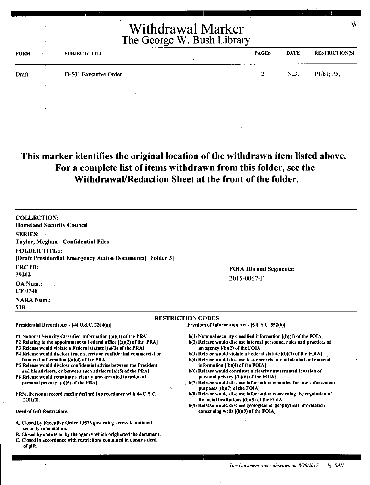| <b>FORM</b> | <b>SUBJECT/TITLE</b>  | <b>PAGES</b> | <b>DATE</b> | <b>RESTRICTION(S)</b> |
|-------------|-----------------------|--------------|-------------|-----------------------|
| Draft       | D-501 Executive Order |              | N.D.        | P1/b1; P5;            |
|             |                       |              |             |                       |

## **This marker identifies the original location of the withdrawn item listed above. For a complete list of items withdrawn from this folder, see the Withdrawal/Redaction Sheet at the front of the folder.**

| <b>COLLECTION:</b><br><b>Homeland Security Council</b>                                                                                                                                                                                                                                                                                     |                                                                                                                                                                                                                                                                                                                                            |
|--------------------------------------------------------------------------------------------------------------------------------------------------------------------------------------------------------------------------------------------------------------------------------------------------------------------------------------------|--------------------------------------------------------------------------------------------------------------------------------------------------------------------------------------------------------------------------------------------------------------------------------------------------------------------------------------------|
| <b>SERIES:</b>                                                                                                                                                                                                                                                                                                                             |                                                                                                                                                                                                                                                                                                                                            |
| Taylor, Meghan - Confidential Files                                                                                                                                                                                                                                                                                                        |                                                                                                                                                                                                                                                                                                                                            |
|                                                                                                                                                                                                                                                                                                                                            |                                                                                                                                                                                                                                                                                                                                            |
| <b>FOLDER TITLE:</b>                                                                                                                                                                                                                                                                                                                       |                                                                                                                                                                                                                                                                                                                                            |
| [Draft Presidential Emergency Action Documents] [Folder 3]                                                                                                                                                                                                                                                                                 |                                                                                                                                                                                                                                                                                                                                            |
| <b>FRC ID:</b>                                                                                                                                                                                                                                                                                                                             | <b>FOIA IDs and Segments:</b>                                                                                                                                                                                                                                                                                                              |
| 39202                                                                                                                                                                                                                                                                                                                                      | 2015-0067-F                                                                                                                                                                                                                                                                                                                                |
| OA Num.:                                                                                                                                                                                                                                                                                                                                   |                                                                                                                                                                                                                                                                                                                                            |
| CF 0748                                                                                                                                                                                                                                                                                                                                    |                                                                                                                                                                                                                                                                                                                                            |
| <b>NARA Num.:</b>                                                                                                                                                                                                                                                                                                                          |                                                                                                                                                                                                                                                                                                                                            |
| 818                                                                                                                                                                                                                                                                                                                                        |                                                                                                                                                                                                                                                                                                                                            |
|                                                                                                                                                                                                                                                                                                                                            | <b>RESTRICTION CODES</b>                                                                                                                                                                                                                                                                                                                   |
| Presidential Records Act - [44 U.S.C. 2204(a)]                                                                                                                                                                                                                                                                                             | Freedom of Information Act - [5 U.S.C. 552(b)]                                                                                                                                                                                                                                                                                             |
| P1 National Security Classified Information [(a)(1) of the PRA]<br>P2 Relating to the appointment to Federal office $[(a)(2)$ of the PRA]<br><b>P3 Release would violate a Federal statute [(a)(3) of the PRA]</b><br>P4 Release would disclose trade secrets or confidential commercial or<br>financial information $[(a)(4)$ of the PRA] | $\sim$ b(1) National security classified information $[(b)(1)$ of the FOIA]<br>b(2) Release would disclose internal personnel rules and practices of<br>an agency $[(b)(2)$ of the FOIA]<br>$b(3)$ Release would violate a Federal statute $(6)(3)$ of the FOIA]<br>b(4) Release would disclose trade secrets or confidential or financial |
| P5 Release would disclose confidential advise between the President                                                                                                                                                                                                                                                                        | information $[(b)(4)$ of the FOIA]<br>b(6) Release would constitute a clearly unwarranted invasion of                                                                                                                                                                                                                                      |
| and his advisors, or between such advisors [a](5) of the PRA]<br>P6 Release would constitute a clearly unwarranted invasion of                                                                                                                                                                                                             | personal privacy $($ b $)($ 6 $)$ of the FOIA $\}$                                                                                                                                                                                                                                                                                         |
| personal privacy $[(a)(6)$ of the PRA]                                                                                                                                                                                                                                                                                                     | b(7) Release would disclose information compiled for law enforcement                                                                                                                                                                                                                                                                       |
| PRM. Personal record misfile defined in accordance with 44 U.S.C.<br>$2201(3)$ .                                                                                                                                                                                                                                                           | purposes $  (b)(7)$ of the FOIA]<br>b(8) Release would disclose information concerning the regulation of<br>financial institutions $[(b)(8)$ of the FOIA]                                                                                                                                                                                  |
| <b>Deed of Gift Restrictions</b>                                                                                                                                                                                                                                                                                                           | b(9) Release would disclose geological or geophysical information<br>concerning wells [(b)(9) of the FOIA]                                                                                                                                                                                                                                 |
|                                                                                                                                                                                                                                                                                                                                            |                                                                                                                                                                                                                                                                                                                                            |
| A. Closed by Executive Order 13526 governing access to national<br>security information.                                                                                                                                                                                                                                                   |                                                                                                                                                                                                                                                                                                                                            |
| B. Closed by statute or by the agency which originated the document.<br>C. Closed in accordance with restrictions contained in donor's deed<br>of gift.                                                                                                                                                                                    |                                                                                                                                                                                                                                                                                                                                            |

 $\mathcal{N}$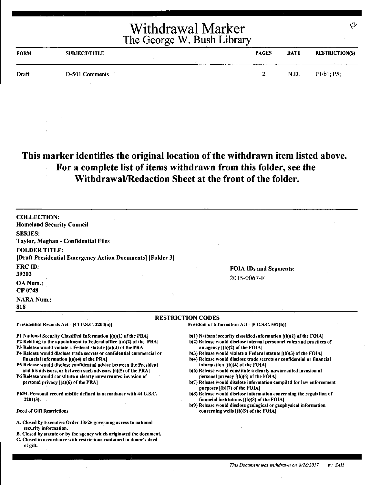| <b>FORM</b> | <b>SUBJECT/TITLE</b> | <b>PAGES</b> | <b>DATE</b> | <b>RESTRICTION(S)</b> |
|-------------|----------------------|--------------|-------------|-----------------------|
| Draft       | D-501 Comments       | - 9          | N.D.        | P1/b1; P5;            |
|             |                      |              |             |                       |

#### **This marker identifies the original location of the withdrawn item listed above. For a complete list of items withdrawn from this folder, see the Withdrawal/Redaction Sheet at the front of the folder.**

**COLLECTION:**  Homeland Security Council **SERIES:**  Taylor, Meghan - Confidential Files **FOLDER TITLE:**  [Draft Presidential Emergency Action Documents] [Folder 3] **FRCID:**  39202 **OANum.:**  CF 0748 **NARA Num.: 818 FOIA** IDs and Segments: 2015-0067-F **RESTRICTION CODES**  Presidential Records Act - (44 U.S.C. 2204(a)) Pl National Security Classified Information ((a)(l) of the PRAJ P2 Relating to the appointment to Federal office ((a)(2) of the PRAJ P3 Release would violate a Federal statute [(a)(3) of the PRA] P4 Release would disclose trade secrets or confidential commercial or financial information ((a)(4) of the PRA) PS Release would disclose confidential advise between the President and his advisors, or between such advisors (a)(S) of the PRA] P6 Release would constitute a clearly unwarranted invasion of personal privacy [(a)(6) of the PRA] PRM. Personal record misfile defined in accordance with 44 U.S.C. 2201(3). Deed of Gift Restrictions A. Closed by Executive Order 13526 governing access to national security information. B. Closed by statute or by the agency which originated the document. Freedom of Information Act - [5 U.S.C, 552(b)]  $b(1)$  National security classified information  $(1b)(1)$  of the FOIA] b(2) Release would disclose internal personnel rules and practices of an agency [(b)(2) of the FOIA] b(3) Release would violate a Federal statute [(b)(3) of the FOIA] b(4) Release would disclose trade secrets or confidential or financial information [(b)(4) of the FOIA] b(6) Release would constitute a clearly unwarranted invasion of personal privacy f(b)(6) of the FOIAJ b(7) Release would disclose information compiled for law enforcement purposes [(b)(7) of the FOIAJ b(8) Release would disclose information concerning the regulation of financial institutions [(b)(8) of the FOIA) b(9) Release would disclose geological or geophysical information concerning wells [(b)(9) of the FOIA]

C. Closed in accordance with restrictions contained in donor's deed

of gift.

\'v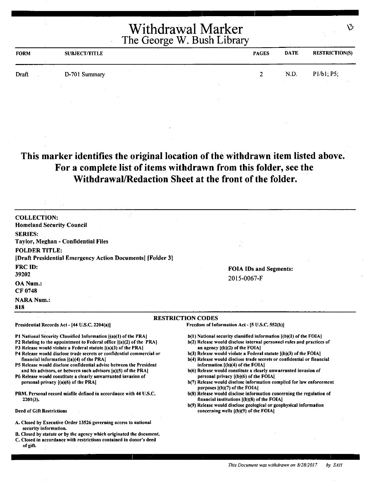| <b>FORM</b> | <b>SUBJECT/TITLE</b> | <b>PAGES</b>  | <b>DATE</b> | <b>RESTRICTION(S)</b> |
|-------------|----------------------|---------------|-------------|-----------------------|
| Draft       | D-701 Summary        | $\rightarrow$ | N.D.        | P1/b1; P5;            |
|             |                      |               |             |                       |

#### **This marker identifies the original location of the withdrawn item listed above. For a complete list of items withdrawn from this folder, see the Withdrawal/Redaction Sheet at the front of the folder.**

| <b>COLLECTION:</b>                                                                                                                        |                                                                                                                      |
|-------------------------------------------------------------------------------------------------------------------------------------------|----------------------------------------------------------------------------------------------------------------------|
| <b>Homeland Security Council</b>                                                                                                          |                                                                                                                      |
| <b>SERIES:</b>                                                                                                                            |                                                                                                                      |
| Taylor, Meghan - Confidential Files                                                                                                       |                                                                                                                      |
| <b>FOLDER TITLE:</b>                                                                                                                      |                                                                                                                      |
| [Draft Presidential Emergency Action Documents] [Folder 3]                                                                                |                                                                                                                      |
| <b>FRC ID:</b>                                                                                                                            | <b>FOIA IDs and Segments:</b>                                                                                        |
| 39202                                                                                                                                     | 2015-0067-F                                                                                                          |
| <b>OA Num.:</b>                                                                                                                           |                                                                                                                      |
| CF 0748                                                                                                                                   |                                                                                                                      |
| <b>NARA Num.:</b>                                                                                                                         |                                                                                                                      |
| 818                                                                                                                                       |                                                                                                                      |
|                                                                                                                                           | <b>RESTRICTION CODES</b>                                                                                             |
| Presidential Records Act - [44 U.S.C. 2204(a)]                                                                                            | Freedom of Information Act - [5 U.S.C. 552(b)]                                                                       |
| P1 National Security Classified Information [(a)(1) of the PRA]                                                                           | $b(1)$ National security classified information $[(b)(1)$ of the FOIA]                                               |
| P2 Relating to the appointment to Federal office [(a)(2) of the PRA]                                                                      | b(2) Release would disclose internal personnel rules and practices of                                                |
| P3 Release would violate a Federal statute $[(a)(3)$ of the PRA]<br>P4 Release would disclose trade secrets or confidential commercial or | an agency $[(b)(2)$ of the FOIA $]$<br>$b(3)$ Release would violate a Federal statute $(a)(3)$ of the FOIA           |
| financial information [(a)(4) of the PRA]                                                                                                 | b(4) Release would disclose trade secrets or confidential or financial                                               |
| P5 Release would disclose confidential advise between the President                                                                       | information $[(b)(4)$ of the $FOIA]$                                                                                 |
| and his advisors, or between such advisors [a)(5) of the PRA]<br>P6 Release would constitute a clearly unwarranted invasion of            | b(6) Release would constitute a clearly unwarranted invasion of<br>personal privacy [(b)(6) of the FOIA]             |
| personal privacy $[(a)(6)$ of the PRA]                                                                                                    | b(7) Release would disclose information compiled for law enforcement                                                 |
|                                                                                                                                           | purposes $[(b)(7)$ of the FOIA]                                                                                      |
| PRM. Personal record misfile defined in accordance with 44 U.S.C.<br>$2201(3)$ .                                                          | b(8) Release would disclose information concerning the regulation of<br>financial institutions $(1)(8)$ of the FOIA] |
|                                                                                                                                           | b(9) Release would disclose geological or geophysical information                                                    |
| <b>Deed of Gift Restrictions</b>                                                                                                          | concerning wells [(b)(9) of the FOIA]                                                                                |
| A. Closed by Executive Order 13526 governing access to national<br>security information.                                                  |                                                                                                                      |
| B. Closed by statute or by the agency which originated the document.                                                                      |                                                                                                                      |
| C. Closed in accordance with restrictions contained in donor's deed                                                                       |                                                                                                                      |
| of gift.                                                                                                                                  |                                                                                                                      |

 $\mathcal{B}$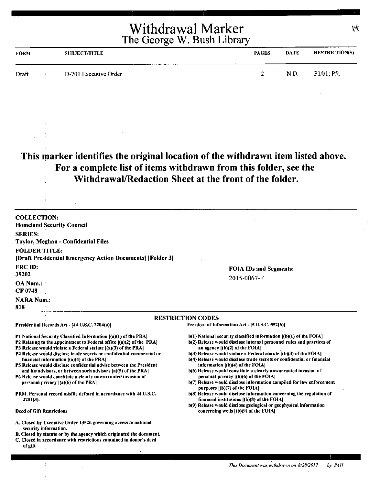| <b>FORM</b> | <b>SUBJECT/TITLE</b>  | <b>PAGES</b> | <b>DATE</b> | <b>RESTRICTION(S)</b> |
|-------------|-----------------------|--------------|-------------|-----------------------|
| Draft       | D-701 Executive Order | $2^{\circ}$  | N.D.        | P1/b1; P5;            |

## **This marker identifies the original location of the withdrawn item listed above. For a complete list of items withdrawn from this folder, see the Withdrawal/Redaction Sheet at the front of the folder.**

| <b>COLLECTION:</b><br><b>Homeland Security Council</b>                                                                                                                                                                                                                                                                                                                                                                                                                                                                                                                                |                                                                                                                                                                                                                                                                                                                                                                                                                                                                                                                                                                                                    |
|---------------------------------------------------------------------------------------------------------------------------------------------------------------------------------------------------------------------------------------------------------------------------------------------------------------------------------------------------------------------------------------------------------------------------------------------------------------------------------------------------------------------------------------------------------------------------------------|----------------------------------------------------------------------------------------------------------------------------------------------------------------------------------------------------------------------------------------------------------------------------------------------------------------------------------------------------------------------------------------------------------------------------------------------------------------------------------------------------------------------------------------------------------------------------------------------------|
| <b>SERIES:</b><br>Taylor, Meghan - Confidential Files                                                                                                                                                                                                                                                                                                                                                                                                                                                                                                                                 |                                                                                                                                                                                                                                                                                                                                                                                                                                                                                                                                                                                                    |
| <b>FOLDER TITLE:</b><br>[Draft Presidential Emergency Action Documents] [Folder 3]                                                                                                                                                                                                                                                                                                                                                                                                                                                                                                    |                                                                                                                                                                                                                                                                                                                                                                                                                                                                                                                                                                                                    |
| <b>FRC ID:</b><br>39202                                                                                                                                                                                                                                                                                                                                                                                                                                                                                                                                                               | <b>FOIA IDs and Segments:</b><br>2015-0067-F                                                                                                                                                                                                                                                                                                                                                                                                                                                                                                                                                       |
| OA Num.:<br><b>CF 0748</b>                                                                                                                                                                                                                                                                                                                                                                                                                                                                                                                                                            |                                                                                                                                                                                                                                                                                                                                                                                                                                                                                                                                                                                                    |
| <b>NARA Num.:</b><br>818                                                                                                                                                                                                                                                                                                                                                                                                                                                                                                                                                              |                                                                                                                                                                                                                                                                                                                                                                                                                                                                                                                                                                                                    |
|                                                                                                                                                                                                                                                                                                                                                                                                                                                                                                                                                                                       | <b>RESTRICTION CODES</b>                                                                                                                                                                                                                                                                                                                                                                                                                                                                                                                                                                           |
| Presidential Records Act - [44 U.S.C. 2204(a)]                                                                                                                                                                                                                                                                                                                                                                                                                                                                                                                                        | Freedom of Information Act - [5 U.S.C. 552(b)]                                                                                                                                                                                                                                                                                                                                                                                                                                                                                                                                                     |
| P1 National Security Classified Information [(a)(1) of the PRA]<br>P2 Relating to the appointment to Federal office $[(a)(2)$ of the PRA<br>P3 Release would violate a Federal statute [(a)(3) of the PRA]<br>P4 Release would disclose trade secrets or confidential commercial or<br>financial information $[(a)(4)$ of the PRA]<br>P5 Release would disclose confidential advise between the President<br>and his advisors, or between such advisors [a](5) of the PRA]<br>P6 Release would constitute a clearly unwarranted invasion of<br>personal privacy $[(a)(6)$ of the PRA] | $b(1)$ National security classified information $(a)(1)$ of the FOIA]<br>b(2) Release would disclose internal personnel rules and practices of<br>an agency $[(b)(2)$ of the FOIA!<br>$b(3)$ Release would violate a Federal statute $[(b)(3)$ of the FOIA]<br>b(4) Release would disclose trade secrets or confidential or financial<br>information $[(b)(4)$ of the FOIA]<br>b(6) Release would constitute a clearly unwarranted invasion of<br>personal privacy ((b)(6) of the FOIA]<br>b(7) Release would disclose information compiled for law enforcement<br>purposes $[(b)(7)$ of the FOIA] |
| <b>PRM.</b> Personal record misfile defined in accordance with 44 U.S.C.<br>$2201(3)$ .                                                                                                                                                                                                                                                                                                                                                                                                                                                                                               | b(8) Release would disclose information concerning the regulation of<br>financial institutions $[(b)(8)$ of the FOIA]                                                                                                                                                                                                                                                                                                                                                                                                                                                                              |
| <b>Deed of Gift Restrictions</b>                                                                                                                                                                                                                                                                                                                                                                                                                                                                                                                                                      | b(9) Release would disclose geological or geophysical information<br>concerning wells [(b)(9) of the FOIA]                                                                                                                                                                                                                                                                                                                                                                                                                                                                                         |
| A. Closed by Executive Order 13526 governing access to national<br>security information.<br>B. Closed by statute or by the agency which originated the document.                                                                                                                                                                                                                                                                                                                                                                                                                      |                                                                                                                                                                                                                                                                                                                                                                                                                                                                                                                                                                                                    |

C. Closed in accordance with restrictions contained in donor's deed

of gift.

*This Document was withdrawn on 8128/2017 by SAH* 

 $\mu$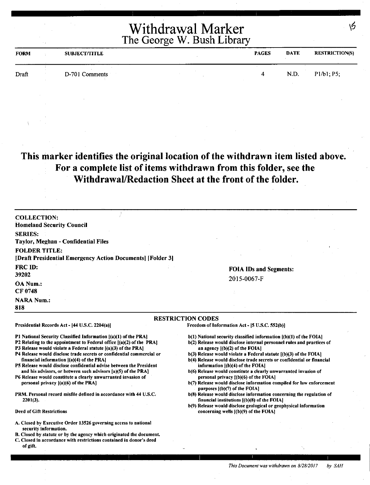| <b>FORM</b> | <b>SUBJECT/TITLE</b> | <b>PAGES</b> | <b>DATE</b> | <b>RESTRICTION(S)</b> |
|-------------|----------------------|--------------|-------------|-----------------------|
| Draft       | D-701 Comments       |              | N.D.        | P1/b1; P5;            |

#### **This marker identifies the original location of the withdrawn item listed above. For a complete list of items withdrawn from this folder, see the Withdrawal/Redaction Sheet at the front of the folder.**

COLLECTION: Homeland Security Council SERIES: Taylor, Meghan - Confidential Files FOLDER TITLE: (Draft Presidential Emergency Action Documents] (Folder 3] FRCID: 39202 OANum.: CF 0748 **NARA Num.:** 818 FOIA IDs and Segments: 2015-0067-F RESTRICTION CODES Presidential Records Act - (44 U.S.C. 2204(a)) Pl National Security Classified Information ((a)(l) of the PRA) P2 Relating to the appointment to Federal office [(a)(2) of the PRA] P3 Release would violate a Federal statute ((a)(3) of the PRAJ P4 Release would disclose trade secrets or confidential commercial or financial information ((a)(4) of the PRAJ PS Release would disclose confidential advise between the President and his advisors, or between such advisors [a)(S) of the PRA] P6 Release would constitute a clearly unwarranted invasion of personal privacy [(a)(6) of the PRA] PRM. Personal record misfile defined in accordance with 44 U.S.C. 2201(3). Freedom of Information Act - (S U.S.C. 552(b)] b(1) National security classified information  $[(b)(1)$  of the FOIA] b(2) Release would disclose internal personnel rules and practices of an agency ((b)(2) of the FOIA]  $b(3)$  Release would violate a Federal statute  $[(b)(3)$  of the FOIA] b(4) Release would disclose trade secrets or confidential or financial information ((b)(4) of the FOIAI b(6) Release would constitute a clearly unwarranted invasion of personal privacy ((b)(6) of the FOIA] b(7) Release would disclose information compiled for law enforcement purposes [(b)(7) of the FOIA] b(8) Release would disclose information concerning the regulation of financial institutions ((b)(8) of the FOIA) b(9) Release would disclose geological or geophysical information

Deed of Gift Restrictions

- A. Closed by Executive Order 13526 governing access to national security information.
- B. Closed by statute or by the agency which originated the document.
- C. Closed in accordance with restrictions contained in donor's deed of gift.

*This Document was withdrawn on 8/28/2017* by SAH

concerning wells [(b)(9) of the FOIAJ

16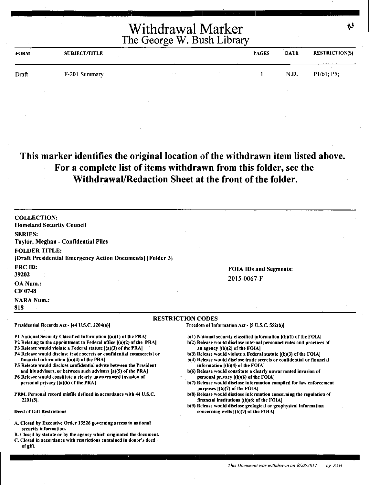| <b>FORM</b> | <b>SUBJECT/TITLE</b> |                          | <b>PAGES</b> | <b>DATE</b> | <b>RESTRICTION(S)</b> |
|-------------|----------------------|--------------------------|--------------|-------------|-----------------------|
| Draft       | F-201 Summary        | <b>Contract Contract</b> |              | N.D.        | P1/b1, P5;            |

#### **This marker identifies the original location** of **the withdrawn item listed above. For a complete list of items withdrawn from this folder, see the Withdrawal/Redaction Sheet at the front of the folder.**

| <b>COLLECTION:</b><br><b>Homeland Security Council</b>                                                                                  |                                                                                                                                                |
|-----------------------------------------------------------------------------------------------------------------------------------------|------------------------------------------------------------------------------------------------------------------------------------------------|
| <b>SERIES:</b>                                                                                                                          |                                                                                                                                                |
| Taylor, Meghan - Confidential Files                                                                                                     |                                                                                                                                                |
| <b>FOLDER TITLE:</b><br>[Draft Presidential Emergency Action Documents] [Folder 3]                                                      |                                                                                                                                                |
| FRC ID:                                                                                                                                 | <b>FOIA IDs and Segments:</b>                                                                                                                  |
| 39202                                                                                                                                   | 2015-0067-F                                                                                                                                    |
| <b>OA Num.:</b><br>CF 0748                                                                                                              |                                                                                                                                                |
| <b>NARA Num.:</b>                                                                                                                       |                                                                                                                                                |
| 818                                                                                                                                     |                                                                                                                                                |
|                                                                                                                                         | <b>RESTRICTION CODES</b>                                                                                                                       |
| Presidential Records Act - [44 U.S.C. 2204(a)]                                                                                          | Freedom of Information Act - [5 U.S.C. 552(b)]                                                                                                 |
| P1 National Security Classified Information [(a)(1) of the PRA]<br>P2 Relating to the appointment to Federal office ((a)(2) of the PRA] | b(1) National security classified information [(b)(1) of the FOIA]                                                                             |
| P3 Release would violate a Federal statute $[(a)(3)$ of the PRA]                                                                        | b(2) Release would disclose internal personnel rules and practices of<br>an agency $[(b)(2)$ of the FOIA]                                      |
| P4 Release would disclose trade secrets or confidential commercial or<br>financial information $[(a)(4)$ of the PRA                     | $b(3)$ Release would violate a Federal statute $[(b)(3)$ of the FOIA<br>b(4) Release would disclose trade secrets or confidential or financial |
| P5 Release would disclose confidential advise between the President                                                                     | information $[(b)(4)$ of the FOIA]                                                                                                             |
| and his advisors, or between such advisors (a)(5) of the PRA]                                                                           | b(6) Release would constitute a clearly unwarranted invasion of                                                                                |

- P6 Release would constitute a clearly unwarranted invasion of personal privacy ((a)(6) of the PRAJ
- PRM. Personal record misfile defined in accordance with 44 U.S.C. 2201(3).

#### Deed of Gift Restrictions

- A. Closed by Executive Order 13526 governing access to national security information.
- B. Closed by statute or by the agency which originated the document.
- C. Closed in accordance with restrictions contained in donor's deed of gift.
- personal privacy ((b)(6) of the FOIA)
- b(7) Release would disclose information compiled for law enforcement purposes  $[(b)(7)$  of the FOIA]
- b(8) Release would disclose information concerning the regulation of financial institutions ((b)(8) of the FOIA)
- b(9) Release would disclose geological or geophysical information concerning wells [(b)(9) of the FOIA)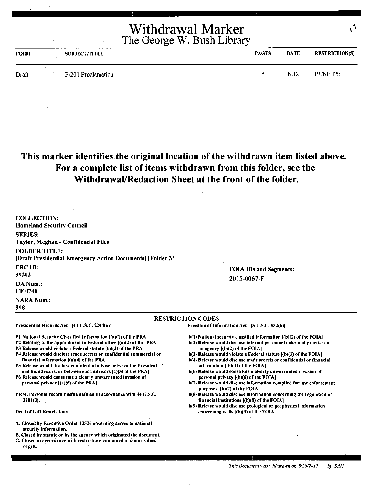| <b>FORM</b> | <b>SUBJECT/TITLE</b> |  | <b>PAGES</b> | <b>DATE</b> | <b>RESTRICTION(S)</b> |
|-------------|----------------------|--|--------------|-------------|-----------------------|
| Draft       | F-201 Proclamation   |  | $\sim$       | N.D.        | P1/b1; P5;            |
|             |                      |  |              |             |                       |

#### **This marker identifies the original location of the withdrawn item listed above. For a complete list of items withdrawn from this folder, see the Withdrawal/Redaction Sheet at the front of the folder.**

| <b>COLLECTION:</b><br><b>Homeland Security Council</b>                                                                                                                                                                                                                                      |                                                                                                                                                                                                                                                             |
|---------------------------------------------------------------------------------------------------------------------------------------------------------------------------------------------------------------------------------------------------------------------------------------------|-------------------------------------------------------------------------------------------------------------------------------------------------------------------------------------------------------------------------------------------------------------|
| <b>SERIES:</b><br>Taylor, Meghan - Confidential Files                                                                                                                                                                                                                                       |                                                                                                                                                                                                                                                             |
| <b>FOLDER TITLE:</b><br>[Draft Presidential Emergency Action Documents] [Folder 3]                                                                                                                                                                                                          |                                                                                                                                                                                                                                                             |
| <b>FRC ID:</b><br>39202                                                                                                                                                                                                                                                                     | <b>FOIA IDs and Segments:</b><br>2015-0067-F                                                                                                                                                                                                                |
| OA Num.:<br>CF 0748                                                                                                                                                                                                                                                                         |                                                                                                                                                                                                                                                             |
| NARA Num.:<br>818                                                                                                                                                                                                                                                                           |                                                                                                                                                                                                                                                             |
|                                                                                                                                                                                                                                                                                             | <b>RESTRICTION CODES</b>                                                                                                                                                                                                                                    |
| Presidential Records Act - [44 U.S.C. 2204(a)]                                                                                                                                                                                                                                              | Freedom of Information Act - [5 U.S.C. 552(b)]                                                                                                                                                                                                              |
| <b>P1 National Security Classified Information [(a)(1) of the PRA]</b><br>P2 Relating to the appointment to Federal office $[(a)(2)$ of the PRA<br>P3 Release would violate a Federal statute $[(a)(3)$ of the PRA<br>P4 Release would disclose trade secrets or confidential commercial or | $b(1)$ National security classified information $[(b)(1)$ of the FOIA]<br>b(2) Release would disclose internal personnel rules and practices of<br>an agency $[(b)(2)$ of the FOIA]<br>$b(3)$ Release would violate a Federal statute $(a)(3)$ of the FOIA] |

- financial information ((a)(4) of the PRA) PS Release would disclose confidential advise between the President and his advisors, or between such advisors [a)(S) of the PRA)
- P6 Release would constitute a clearly unwarranted invasion of personal privacy ((a)(6) of the PRA]
- PRM. Personal record misfile defined in accordance with 44 U.S.C. 2201(3).

#### Deed of Gift Restrictions

- A. Closed by Executive Order 13526 governing access to national security information.
- B. Closed by statute or by the agency which originated the document,
- C. Closed in accordance with restrictions contained in donor's deed of gift.
- b(4) Release would disclose trade secrets or confidential or financial information  $[(b)(4)$  of the FOIA]
- b(6) Release would constitute a clearly unwarranted invasion of personal privacy [(b)(6) of the FOIA]
- b(7) Release would disclose information compiled for law enforcement purposes  $(6)(7)$  of the FOIA)
- b(S) Release would disclose information concerning the regulation of financial institutions [(b)(8) of the FOIAJ
- b(9) Release would disclose geological or geophysical information concerning wells [(b)(9) of the FOIAJ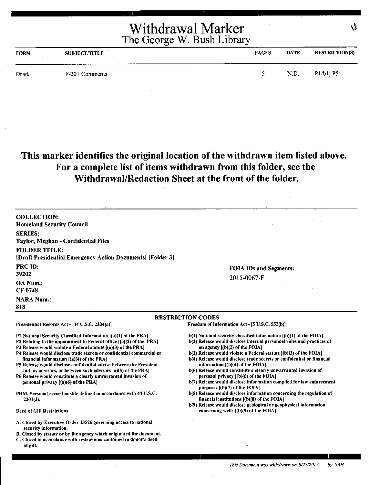| <b>FORM</b> | <b>SUBJECT/TITLE</b> | <b>PAGES</b> | <b>DATE</b> | <b>RESTRICTION(S)</b> |
|-------------|----------------------|--------------|-------------|-----------------------|
| Draft       | F-201 Comments       |              | N.D.        | P1/b1, P5;            |
|             |                      |              |             |                       |

#### **This marker identifies the original location of the withdrawn item listed above. For a complete list of items withdrawn from this folder, see the Withdrawal/Redaction Sheet at the front of the folder.**

COLLECTION: Homeland Security Council SERIES: Taylor, Meghan - Confidential Files FOLDER TITLE: [Draft Presidential Emergency Action Documents] [Folder 3] FRC ID: 39202 OA Num.: CF 0748 **NARA Num.:** 818 FOIA IDs and Segments: 2015-0067-F RESTRICTION CODES Presidential Records Act - (44 U.S.C. 2204(a)) Pl National Security Classified Information ((a)(l) of the PRA) P2 Relating to the appointment to Federal office [(a)(2) of the PRAJ P3 Release would violate a Federal statute  $[(a)(3)$  of the PRA] P4 Release would disclose trade secrets or confidential commercial or financial information ((a)(4) of the PRA) PS Release would disclose confidential advise between the President and his advisors, or between such advisors (a)(S) of the PRA) P6 Release would constitute a clearly unwarranted invasion of personal privacy [(a)(6) of the PRA) PRM. Personal record misfile defined in accordance with 44 U.S.C. 2201(3). Deed of Gift Restrictions Freedom of Information Act - [5 U.S.C. 552(b)] b(l) National security classified information [(b)(l) of the FOIAJ b(2) Release would disclose internal personnel rules and practices of an agency ((b)(2) of the FOIAI b(3) Release would violate a Federal statute ((b)(3) of the FOIA) b(4) Release would disclose trade secrets or confidential or financial information  $[(b)(4)$  of the FOIA] b(6) Release would constitute a clearly unwarranted invasion of personal privacy [(b)(6) of the FOIA) b(7) Release would disclose information compiled for law enforcement purposes ((b)(7) of the FOIAI b(8) Release would disclose information concerning the regulation of financial institutions ((b)(8) of the FOIA) b(9) Release would disclose geological or geophysical information concerning wells ((b)(9) of the FOIAI

A. Closed by Executive Order 13526 governing access to national

B. Closed by statute or by the agency which originated the document. C. Closed in accordance with restrictions contained in donor's deed

security information.

of gift.

۱Ĭ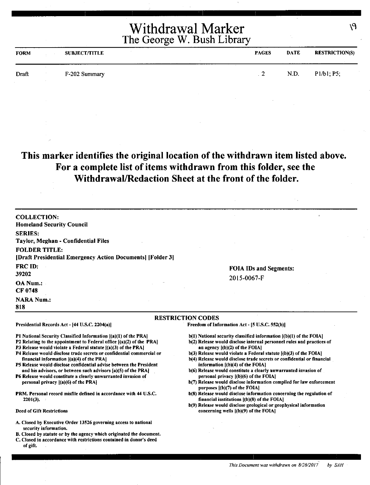| <b>FORM</b> | <b>SUBJECT/TITLE</b> | <b>PAGES</b> | <b>DATE</b> | <b>RESTRICTION(S)</b> |
|-------------|----------------------|--------------|-------------|-----------------------|
| Draft       | F-202 Summary        | -            | N.D.        | P1/b1; P5;            |

#### **This marker identifies the original location of the withdrawn item listed above. For a complete list of items withdrawn from this folder, see the Withdrawal/Redaction Sheet at the front of the folder.**

COLLECTION: Homeland Security Council SERIES: Taylor, Meghan - Confidential Files FOLDER TITLE: [Draft Presidential Emergency Action Documents] [Folder 3] FRCID: 39202 OA Num.: CF 0748 **NARA Num.:** 818 FOIA IDs and Segments: 2015-0067-F RESTRICTION CODES

Presidential Records Act - (44 U.S.C. 2204(a))

Pl National Security Classified Information ((a)(l) of the PRAJ

- P2 Relating to the appointment to Federal office [(a)(2) of the PRA)
- P3 Release would violate a Federal statute  $[(a)(3)$  of the PRA]
- P4 Release would disclose trade secrets or confidential commercial or financial information ((a)(4) of the PRAJ
- PS Release would disclose confidential advise between the President and his advisors, or between such advisors [a)(5) of the PRA)
- P6 Release would constitute a clearly unwarranted invasion of personal privacy ((a)(6) of the **PRAI**
- PRM. Personal record misfile defined in accordance with 44 U.S.C. 2201(3).

#### Deed of Gift Restrictions

- A. Closed by Executive Order 13526 governing access to national security information.
- B. Closed by statute or by the agency which originated the document.
- C. Closed in accordance with restrictions contained in donor's deed of gift.

Freedom of Information Act- (5 U.S.C. 552(b))

- b(l) National security classified information [(b)(l) of the FOIA)
- b(2) Release would disclose internal personnel rules and practices of an agency ((b)(2) of the FOIAI
- b(3) Release would violate a Federal statute ((b)(3) of the FOIA)
- b(4) Release would disclose trade secrets or confidential or financial information [(b)(4) of the FOIA)
- b(6) Release would constitute a clearly unwarranted invasion of personal privacy ((b)(6) of the FOIAI
- b(7) Release would disclose information compiled for law enforcement purposes [(b)(7) of the FOIA]
- b(S) Release would disclose information concerning the regulation of financial institutions ((b)(S) of the FOIA)
- b(9) Release would disclose geological or geophysical information concerning wells ((b)(9) of the FOIA)

۱۹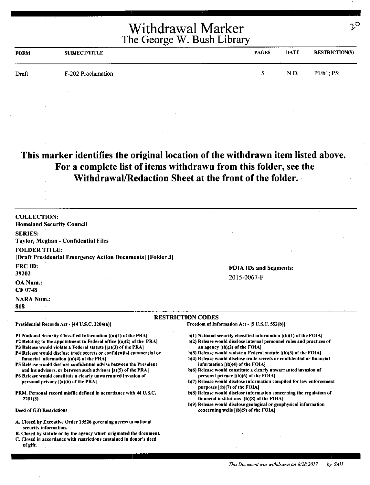| <b>FORM</b> | <b>SUBJECT/TITLE</b> | <b>PAGES</b> | <b>DATE</b> | <b>RESTRICTION(S)</b> |
|-------------|----------------------|--------------|-------------|-----------------------|
| Draft       | F-202 Proclamation   | ς.           | N.D.        | P1/b1; P5;            |
|             |                      |              |             |                       |

#### **This marker identifies the original location of the withdrawn item listed above. For a complete list of items withdrawn from this folder, see the WithdrawaVRedaction Sheet** at **the front of the folder.**

| <b>COLLECTION:</b><br><b>Homeland Security Council</b>                                                                                   |                                                                                                               |  |
|------------------------------------------------------------------------------------------------------------------------------------------|---------------------------------------------------------------------------------------------------------------|--|
| <b>SERIES:</b>                                                                                                                           |                                                                                                               |  |
| Taylor, Meghan - Confidential Files                                                                                                      |                                                                                                               |  |
| <b>FOLDER TITLE:</b><br>[Draft Presidential Emergency Action Documents] [Folder 3]                                                       |                                                                                                               |  |
| <b>FRC ID:</b>                                                                                                                           | <b>FOIA IDs and Segments:</b>                                                                                 |  |
| 39202                                                                                                                                    |                                                                                                               |  |
| <b>OA Num.:</b>                                                                                                                          | 2015-0067-F                                                                                                   |  |
| <b>CF 0748</b>                                                                                                                           |                                                                                                               |  |
| <b>NARA Num.:</b>                                                                                                                        |                                                                                                               |  |
| 818                                                                                                                                      |                                                                                                               |  |
|                                                                                                                                          | <b>RESTRICTION CODES</b>                                                                                      |  |
| Presidential Records Act - [44 U.S.C. 2204(a)]                                                                                           | Freedom of Information Act - [5 U.S.C. 552(b)]                                                                |  |
| P1 National Security Classified Information {(a)(1) of the PRA]                                                                          | $b(1)$ National security classified information $(a)(1)$ of the FOIA.                                         |  |
| P2 Relating to the appointment to Federal office $[(a)(2)$ of the PRA]<br>P3 Release would violate a Federal statute [(a)(3) of the PRA] | b(2) Release would disclose internal personnel rules and practices of<br>an agency $(1)(2)$ of the FOIA.      |  |
| P4 Release would disclose trade secrets or confidential commercial or                                                                    | $b(3)$ Release would violate a Federal statute $(a)(3)$ of the FOIA                                           |  |
| financial information $[(a)(4)$ of the PRA]                                                                                              | b(4) Release would disclose trade secrets or confidential or financial                                        |  |
| P5 Release would disclose confidential advise between the President                                                                      | information $[(b)(4)$ of the FOIA.                                                                            |  |
| and his advisors, or between such advisors [a](5) of the PRA]                                                                            | b(6) Release would constitute a clearly unwarranted invasion of                                               |  |
| P6 Release would constitute a clearly unwarranted invasion of<br>personal privacy $[(a)(6)$ of the PRA]                                  | personal privacy $(6)(6)$ of the FOIA<br>b(7) Release would disclose information compiled for law enforcement |  |
|                                                                                                                                          | purposes $[(b)(7)$ of the FOIA]                                                                               |  |
| PRM. Personal record misfile defined in accordance with 44 U.S.C.                                                                        | b(8) Release would disclose information concerning the regulation of                                          |  |
| $2201(3)$ .                                                                                                                              | financial institutions $($ b $)(8)$ of the FOIA $]$                                                           |  |

Deed of Gift Restrictions

- A. Closed by Executive Order 13526 governing access to national security information.
- 8. Closed by statute or by the agency which originated the document.
- C. Closed in accordance with restrictions contained in donor's deed of gift.

b(9) Release would disclose geological or geophysical information concerning wells ((b)(9) of the FOIA)

 $2^\mathsf{O}$